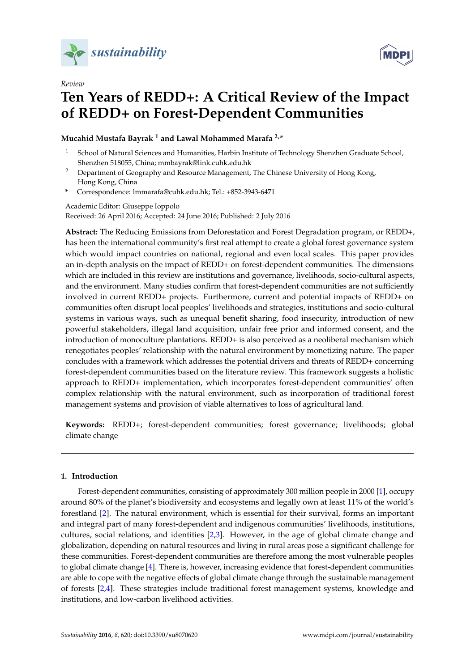

*Review*

# **Ten Years of REDD+: A Critical Review of the Impact of REDD+ on Forest-Dependent Communities**

# **Mucahid Mustafa Bayrak <sup>1</sup> and Lawal Mohammed Marafa 2,\***

- <sup>1</sup> School of Natural Sciences and Humanities, Harbin Institute of Technology Shenzhen Graduate School, Shenzhen 518055, China; mmbayrak@link.cuhk.edu.hk
- <sup>2</sup> Department of Geography and Resource Management, The Chinese University of Hong Kong, Hong Kong, China
- **\*** Correspondence: lmmarafa@cuhk.edu.hk; Tel.: +852-3943-6471

Academic Editor: Giuseppe Ioppolo Received: 26 April 2016; Accepted: 24 June 2016; Published: 2 July 2016

**Abstract:** The Reducing Emissions from Deforestation and Forest Degradation program, or REDD+, has been the international community's first real attempt to create a global forest governance system which would impact countries on national, regional and even local scales. This paper provides an in-depth analysis on the impact of REDD+ on forest-dependent communities. The dimensions which are included in this review are institutions and governance, livelihoods, socio-cultural aspects, and the environment. Many studies confirm that forest-dependent communities are not sufficiently involved in current REDD+ projects. Furthermore, current and potential impacts of REDD+ on communities often disrupt local peoples' livelihoods and strategies, institutions and socio-cultural systems in various ways, such as unequal benefit sharing, food insecurity, introduction of new powerful stakeholders, illegal land acquisition, unfair free prior and informed consent, and the introduction of monoculture plantations. REDD+ is also perceived as a neoliberal mechanism which renegotiates peoples' relationship with the natural environment by monetizing nature. The paper concludes with a framework which addresses the potential drivers and threats of REDD+ concerning forest-dependent communities based on the literature review. This framework suggests a holistic approach to REDD+ implementation, which incorporates forest-dependent communities' often complex relationship with the natural environment, such as incorporation of traditional forest management systems and provision of viable alternatives to loss of agricultural land.

**Keywords:** REDD+; forest-dependent communities; forest governance; livelihoods; global climate change

### **1. Introduction**

Forest-dependent communities, consisting of approximately 300 million people in 2000 [\[1\]](#page-16-0), occupy around 80% of the planet's biodiversity and ecosystems and legally own at least 11% of the world's forestland [\[2\]](#page-16-1). The natural environment, which is essential for their survival, forms an important and integral part of many forest-dependent and indigenous communities' livelihoods, institutions, cultures, social relations, and identities [\[2,](#page-16-1)[3\]](#page-16-2). However, in the age of global climate change and globalization, depending on natural resources and living in rural areas pose a significant challenge for these communities. Forest-dependent communities are therefore among the most vulnerable peoples to global climate change [\[4\]](#page-16-3). There is, however, increasing evidence that forest-dependent communities are able to cope with the negative effects of global climate change through the sustainable management of forests [\[2,](#page-16-1)[4\]](#page-16-3). These strategies include traditional forest management systems, knowledge and institutions, and low-carbon livelihood activities.

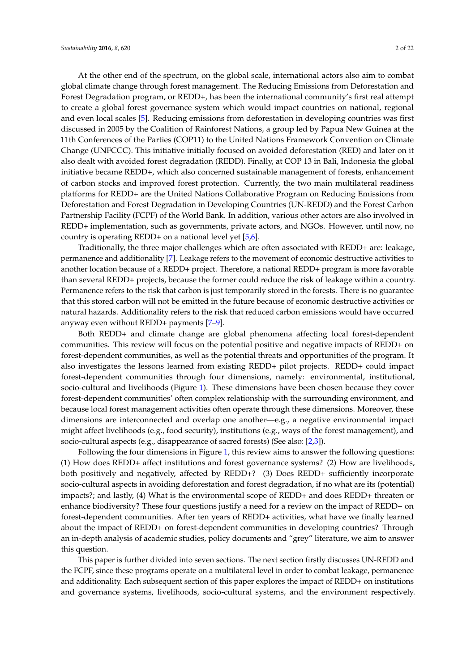At the other end of the spectrum, on the global scale, international actors also aim to combat global climate change through forest management. The Reducing Emissions from Deforestation and Forest Degradation program, or REDD+, has been the international community's first real attempt to create a global forest governance system which would impact countries on national, regional and even local scales [\[5\]](#page-17-0). Reducing emissions from deforestation in developing countries was first discussed in 2005 by the Coalition of Rainforest Nations, a group led by Papua New Guinea at the 11th Conferences of the Parties (COP11) to the United Nations Framework Convention on Climate Change (UNFCCC). This initiative initially focused on avoided deforestation (RED) and later on it also dealt with avoided forest degradation (REDD). Finally, at COP 13 in Bali, Indonesia the global initiative became REDD+, which also concerned sustainable management of forests, enhancement of carbon stocks and improved forest protection. Currently, the two main multilateral readiness platforms for REDD+ are the United Nations Collaborative Program on Reducing Emissions from Deforestation and Forest Degradation in Developing Countries (UN-REDD) and the Forest Carbon Partnership Facility (FCPF) of the World Bank. In addition, various other actors are also involved in REDD+ implementation, such as governments, private actors, and NGOs. However, until now, no country is operating REDD+ on a national level yet [\[5](#page-17-0)[,6\]](#page-17-1).

Traditionally, the three major challenges which are often associated with REDD+ are: leakage, permanence and additionality [\[7\]](#page-17-2). Leakage refers to the movement of economic destructive activities to another location because of a REDD+ project. Therefore, a national REDD+ program is more favorable than several REDD+ projects, because the former could reduce the risk of leakage within a country. Permanence refers to the risk that carbon is just temporarily stored in the forests. There is no guarantee that this stored carbon will not be emitted in the future because of economic destructive activities or natural hazards. Additionality refers to the risk that reduced carbon emissions would have occurred anyway even without REDD+ payments [\[7–](#page-17-2)[9\]](#page-17-3).

Both REDD+ and climate change are global phenomena affecting local forest-dependent communities. This review will focus on the potential positive and negative impacts of REDD+ on forest-dependent communities, as well as the potential threats and opportunities of the program. It also investigates the lessons learned from existing REDD+ pilot projects. REDD+ could impact forest-dependent communities through four dimensions, namely: environmental, institutional, socio-cultural and livelihoods (Figure [1\)](#page-2-0). These dimensions have been chosen because they cover forest-dependent communities' often complex relationship with the surrounding environment, and because local forest management activities often operate through these dimensions. Moreover, these dimensions are interconnected and overlap one another—e.g., a negative environmental impact might affect livelihoods (e.g., food security), institutions (e.g., ways of the forest management), and socio-cultural aspects (e.g., disappearance of sacred forests) (See also: [\[2,](#page-16-1)[3\]](#page-16-2)).

Following the four dimensions in Figure [1,](#page-2-0) this review aims to answer the following questions: (1) How does REDD+ affect institutions and forest governance systems? (2) How are livelihoods, both positively and negatively, affected by REDD+? (3) Does REDD+ sufficiently incorporate socio-cultural aspects in avoiding deforestation and forest degradation, if no what are its (potential) impacts?; and lastly, (4) What is the environmental scope of REDD+ and does REDD+ threaten or enhance biodiversity? These four questions justify a need for a review on the impact of REDD+ on forest-dependent communities. After ten years of REDD+ activities, what have we finally learned about the impact of REDD+ on forest-dependent communities in developing countries? Through an in-depth analysis of academic studies, policy documents and "grey" literature, we aim to answer this question.

This paper is further divided into seven sections. The next section firstly discusses UN-REDD and the FCPF, since these programs operate on a multilateral level in order to combat leakage, permanence and additionality. Each subsequent section of this paper explores the impact of REDD+ on institutions and governance systems, livelihoods, socio-cultural systems, and the environment respectively.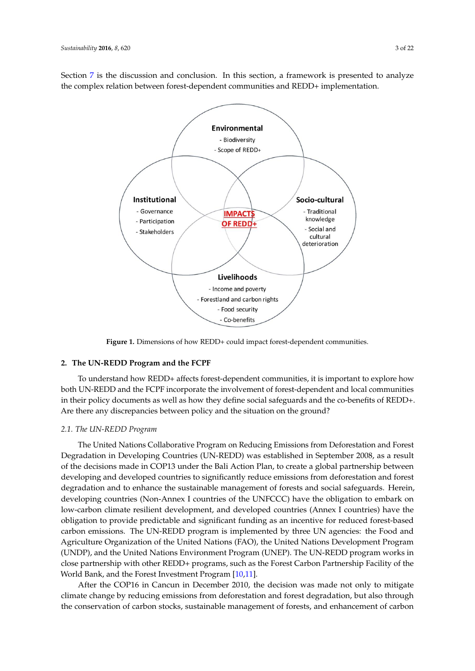<span id="page-2-0"></span>Section [7](#page-14-0) is the discussion and conclusion. In this section, a framework is presented to analyze the complex relation between forest-dependent communities and REDD+ implementation. *Sustainability* **2016**, *8*, 620 3 of 21



**Figure 1.** Dimensions of how REDD+ could impact forest-dependent communities. **Figure 1.** Dimensions of how REDD+ could impact forest-dependent communities.

# <span id="page-2-1"></span>**2. The UN-REDD Program and the FCPF 2. The UN-REDD Program and the FCPF**

To understand how REDD+ affects forest-dependent communities, it is important to explore To understand how REDD+ affects forest-dependent communities, it is important to explore how both UN-REDD and the FCPF incorporate the involvement of forest-dependent and local communities in their policy documents as well as how they define social safeguards and the co-benefits of REDD+. Are there any discrepancies between policy and the situation on the ground?

# *2.1. The UN-REDD Program 2.1. The UN-REDD Program*

The United Nations Collaborative Program on Reducing Emissions from Deforestation and The United Nations Collaborative Program on Reducing Emissions from Deforestation and Forest Degradation in Developing Countries (UN-REDD) was established in September 2008, as a result of the decisions made in COP13 under the Bali Action Plan, to create a global partnership between developing and developed countries to significantly reduce emissions from deforestation and forest degradation and to enhance the sustainable management of forests and social safeguards. Herein, developing countries (Non-Annex I countries of the UNFCCC) have the obligation to embark on low-carbon climate resilient development, and developed countries (Annex I countries) have the obligation to provide predictable and significant funding as an incentive for reduced forest-based obligation to provide predictable and significant funding as an incentive for reduced forest-based carbon emissions. The UN-REDD program is implemented by three UN agencies: the Food and carbon emissions. The UN-REDD program is implemented by three UN agencies: the Food and Agriculture Organization of the United Nations (FAO), the United Nations Development Program Agriculture Organization of the United Nations (FAO), the United Nations Development Program (UNDP), and the United Nations Environment Program (UNEP). The UN-REDD program works in (UNDP), and the United Nations Environment Program (UNEP). The UN-REDD program works in close partnership with other REDD+ programs, such as the Forest Carbon Partnership Facility of the close partnership with other REDD+ programs, such as the Forest Carbon Partnership Facility of the World Bank, and the Forest Investment Program [10,11]. World Bank, and the Forest Investment Program [\[10](#page-17-4)[,11\]](#page-17-5).

After the COP16 in Cancun in December 2010, the decision was made not only to mitigate After the COP16 in Cancun in December 2010, the decision was made not only to mitigate climate change by reducing emissions from deforestation and forest degradation, but also through climate change by reducing emissions from deforestation and forest degradation, but also through the conservation of carbon stocks, sustainable management of forests, and enhancement of carbon the conservation of carbon stocks, sustainable management of forests, and enhancement of carbon

stocks $e$ .g., through reforestation or afforestation. These REDD+ activities should be: countries showledge  $c$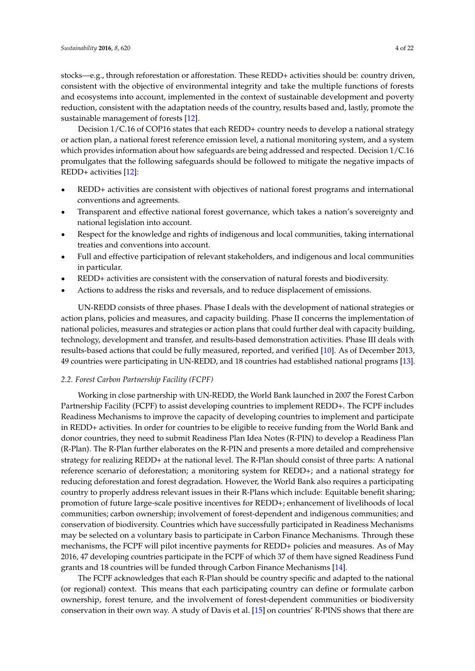stocks—e.g., through reforestation or afforestation. These REDD+ activities should be: country driven, consistent with the objective of environmental integrity and take the multiple functions of forests and ecosystems into account, implemented in the context of sustainable development and poverty reduction, consistent with the adaptation needs of the country, results based and, lastly, promote the sustainable management of forests [\[12\]](#page-17-6).

Decision 1/C.16 of COP16 states that each REDD+ country needs to develop a national strategy or action plan, a national forest reference emission level, a national monitoring system, and a system which provides information about how safeguards are being addressed and respected. Decision 1/C.16 promulgates that the following safeguards should be followed to mitigate the negative impacts of REDD+ activities [\[12\]](#page-17-6):

- ' REDD+ activities are consistent with objectives of national forest programs and international conventions and agreements.
- ' Transparent and effective national forest governance, which takes a nation's sovereignty and national legislation into account.
- ' Respect for the knowledge and rights of indigenous and local communities, taking international treaties and conventions into account.
- ' Full and effective participation of relevant stakeholders, and indigenous and local communities in particular.
- ' REDD+ activities are consistent with the conservation of natural forests and biodiversity.
- ' Actions to address the risks and reversals, and to reduce displacement of emissions.

UN-REDD consists of three phases. Phase I deals with the development of national strategies or action plans, policies and measures, and capacity building. Phase II concerns the implementation of national policies, measures and strategies or action plans that could further deal with capacity building, technology, development and transfer, and results-based demonstration activities. Phase III deals with results-based actions that could be fully measured, reported, and verified [\[10\]](#page-17-4). As of December 2013, 49 countries were participating in UN-REDD, and 18 countries had established national programs [\[13\]](#page-17-7).

#### *2.2. Forest Carbon Partnership Facility (FCPF)*

Working in close partnership with UN-REDD, the World Bank launched in 2007 the Forest Carbon Partnership Facility (FCPF) to assist developing countries to implement REDD+. The FCPF includes Readiness Mechanisms to improve the capacity of developing countries to implement and participate in REDD+ activities. In order for countries to be eligible to receive funding from the World Bank and donor countries, they need to submit Readiness Plan Idea Notes (R-PIN) to develop a Readiness Plan (R-Plan). The R-Plan further elaborates on the R-PIN and presents a more detailed and comprehensive strategy for realizing REDD+ at the national level. The R-Plan should consist of three parts: A national reference scenario of deforestation; a monitoring system for REDD+; and a national strategy for reducing deforestation and forest degradation. However, the World Bank also requires a participating country to properly address relevant issues in their R-Plans which include: Equitable benefit sharing; promotion of future large-scale positive incentives for REDD+; enhancement of livelihoods of local communities; carbon ownership; involvement of forest-dependent and indigenous communities; and conservation of biodiversity. Countries which have successfully participated in Readiness Mechanisms may be selected on a voluntary basis to participate in Carbon Finance Mechanisms. Through these mechanisms, the FCPF will pilot incentive payments for REDD+ policies and measures. As of May 2016, 47 developing countries participate in the FCPF of which 37 of them have signed Readiness Fund grants and 18 countries will be funded through Carbon Finance Mechanisms [\[14\]](#page-17-8).

The FCPF acknowledges that each R-Plan should be country specific and adapted to the national (or regional) context. This means that each participating country can define or formulate carbon ownership, forest tenure, and the involvement of forest-dependent communities or biodiversity conservation in their own way. A study of Davis et al. [\[15\]](#page-17-9) on countries' R-PINS shows that there are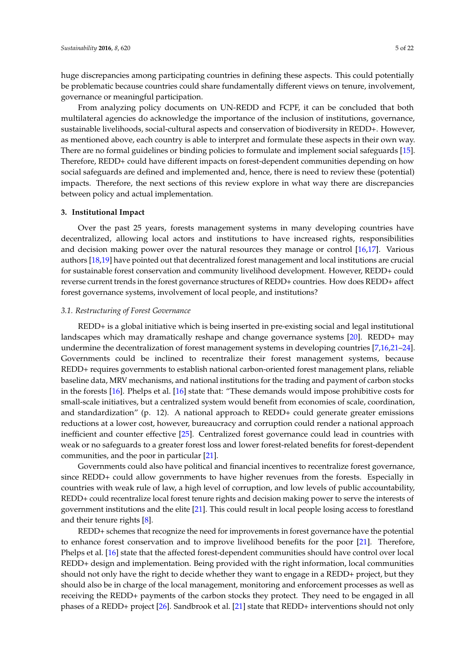huge discrepancies among participating countries in defining these aspects. This could potentially be problematic because countries could share fundamentally different views on tenure, involvement, governance or meaningful participation.

From analyzing policy documents on UN-REDD and FCPF, it can be concluded that both multilateral agencies do acknowledge the importance of the inclusion of institutions, governance, sustainable livelihoods, social-cultural aspects and conservation of biodiversity in REDD+. However, as mentioned above, each country is able to interpret and formulate these aspects in their own way. There are no formal guidelines or binding policies to formulate and implement social safeguards [\[15\]](#page-17-9). Therefore, REDD+ could have different impacts on forest-dependent communities depending on how social safeguards are defined and implemented and, hence, there is need to review these (potential) impacts. Therefore, the next sections of this review explore in what way there are discrepancies between policy and actual implementation.

#### **3. Institutional Impact**

Over the past 25 years, forests management systems in many developing countries have decentralized, allowing local actors and institutions to have increased rights, responsibilities and decision making power over the natural resources they manage or control [\[16](#page-17-10)[,17\]](#page-17-11). Various authors [\[18](#page-17-12)[,19\]](#page-17-13) have pointed out that decentralized forest management and local institutions are crucial for sustainable forest conservation and community livelihood development. However, REDD+ could reverse current trends in the forest governance structures of REDD+ countries. How does REDD+ affect forest governance systems, involvement of local people, and institutions?

#### *3.1. Restructuring of Forest Governance*

REDD+ is a global initiative which is being inserted in pre-existing social and legal institutional landscapes which may dramatically reshape and change governance systems [\[20\]](#page-17-14). REDD+ may undermine the decentralization of forest management systems in developing countries [\[7](#page-17-2)[,16,](#page-17-10)[21–](#page-17-15)[24\]](#page-17-16). Governments could be inclined to recentralize their forest management systems, because REDD+ requires governments to establish national carbon-oriented forest management plans, reliable baseline data, MRV mechanisms, and national institutions for the trading and payment of carbon stocks in the forests [\[16\]](#page-17-10). Phelps et al. [\[16\]](#page-17-10) state that: "These demands would impose prohibitive costs for small-scale initiatives, but a centralized system would benefit from economies of scale, coordination, and standardization" (p. 12). A national approach to REDD+ could generate greater emissions reductions at a lower cost, however, bureaucracy and corruption could render a national approach inefficient and counter effective [\[25\]](#page-17-17). Centralized forest governance could lead in countries with weak or no safeguards to a greater forest loss and lower forest-related benefits for forest-dependent communities, and the poor in particular [\[21\]](#page-17-15).

Governments could also have political and financial incentives to recentralize forest governance, since REDD+ could allow governments to have higher revenues from the forests. Especially in countries with weak rule of law, a high level of corruption, and low levels of public accountability, REDD+ could recentralize local forest tenure rights and decision making power to serve the interests of government institutions and the elite [\[21\]](#page-17-15). This could result in local people losing access to forestland and their tenure rights [\[8\]](#page-17-18).

REDD+ schemes that recognize the need for improvements in forest governance have the potential to enhance forest conservation and to improve livelihood benefits for the poor [\[21\]](#page-17-15). Therefore, Phelps et al. [\[16\]](#page-17-10) state that the affected forest-dependent communities should have control over local REDD+ design and implementation. Being provided with the right information, local communities should not only have the right to decide whether they want to engage in a REDD+ project, but they should also be in charge of the local management, monitoring and enforcement processes as well as receiving the REDD+ payments of the carbon stocks they protect. They need to be engaged in all phases of a REDD+ project [\[26\]](#page-17-19). Sandbrook et al. [\[21\]](#page-17-15) state that REDD+ interventions should not only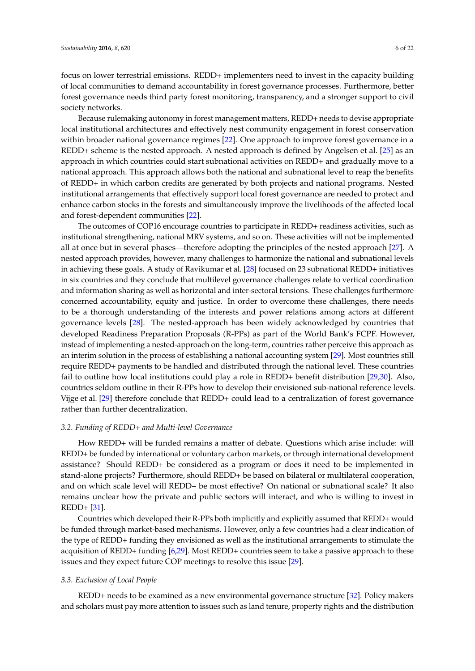focus on lower terrestrial emissions. REDD+ implementers need to invest in the capacity building of local communities to demand accountability in forest governance processes. Furthermore, better forest governance needs third party forest monitoring, transparency, and a stronger support to civil society networks.

Because rulemaking autonomy in forest management matters, REDD+ needs to devise appropriate local institutional architectures and effectively nest community engagement in forest conservation within broader national governance regimes [\[22\]](#page-17-20). One approach to improve forest governance in a REDD+ scheme is the nested approach. A nested approach is defined by Angelsen et al. [\[25\]](#page-17-17) as an approach in which countries could start subnational activities on REDD+ and gradually move to a national approach. This approach allows both the national and subnational level to reap the benefits of REDD+ in which carbon credits are generated by both projects and national programs. Nested institutional arrangements that effectively support local forest governance are needed to protect and enhance carbon stocks in the forests and simultaneously improve the livelihoods of the affected local and forest-dependent communities [\[22\]](#page-17-20).

The outcomes of COP16 encourage countries to participate in REDD+ readiness activities, such as institutional strengthening, national MRV systems, and so on. These activities will not be implemented all at once but in several phases—therefore adopting the principles of the nested approach [\[27\]](#page-18-0). A nested approach provides, however, many challenges to harmonize the national and subnational levels in achieving these goals. A study of Ravikumar et al. [\[28\]](#page-18-1) focused on 23 subnational REDD+ initiatives in six countries and they conclude that multilevel governance challenges relate to vertical coordination and information sharing as well as horizontal and inter-sectoral tensions. These challenges furthermore concerned accountability, equity and justice. In order to overcome these challenges, there needs to be a thorough understanding of the interests and power relations among actors at different governance levels [\[28\]](#page-18-1). The nested-approach has been widely acknowledged by countries that developed Readiness Preparation Proposals (R-PPs) as part of the World Bank's FCPF. However, instead of implementing a nested-approach on the long-term, countries rather perceive this approach as an interim solution in the process of establishing a national accounting system [\[29\]](#page-18-2). Most countries still require REDD+ payments to be handled and distributed through the national level. These countries fail to outline how local institutions could play a role in REDD+ benefit distribution [\[29,](#page-18-2)[30\]](#page-18-3). Also, countries seldom outline in their R-PPs how to develop their envisioned sub-national reference levels. Vijge et al. [\[29\]](#page-18-2) therefore conclude that REDD+ could lead to a centralization of forest governance rather than further decentralization.

#### <span id="page-5-0"></span>*3.2. Funding of REDD+ and Multi-level Governance*

How REDD+ will be funded remains a matter of debate. Questions which arise include: will REDD+ be funded by international or voluntary carbon markets, or through international development assistance? Should REDD+ be considered as a program or does it need to be implemented in stand-alone projects? Furthermore, should REDD+ be based on bilateral or multilateral cooperation, and on which scale level will REDD+ be most effective? On national or subnational scale? It also remains unclear how the private and public sectors will interact, and who is willing to invest in REDD+ [\[31\]](#page-18-4).

Countries which developed their R-PPs both implicitly and explicitly assumed that REDD+ would be funded through market-based mechanisms. However, only a few countries had a clear indication of the type of REDD+ funding they envisioned as well as the institutional arrangements to stimulate the acquisition of REDD+ funding [\[6](#page-17-1)[,29\]](#page-18-2). Most REDD+ countries seem to take a passive approach to these issues and they expect future COP meetings to resolve this issue [\[29\]](#page-18-2).

#### *3.3. Exclusion of Local People*

REDD+ needs to be examined as a new environmental governance structure [\[32\]](#page-18-5). Policy makers and scholars must pay more attention to issues such as land tenure, property rights and the distribution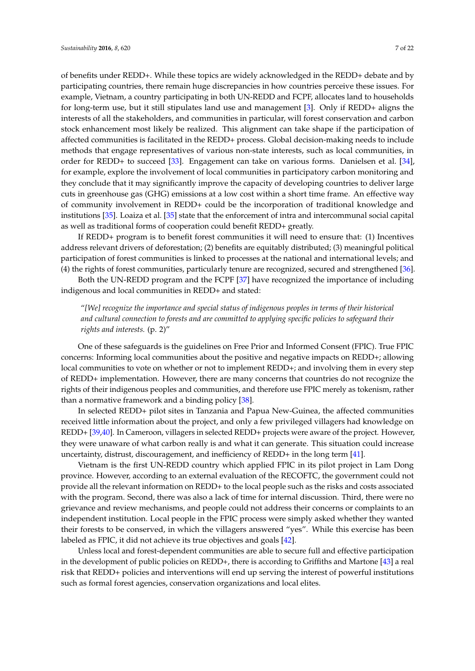of benefits under REDD+. While these topics are widely acknowledged in the REDD+ debate and by participating countries, there remain huge discrepancies in how countries perceive these issues. For example, Vietnam, a country participating in both UN-REDD and FCPF, allocates land to households for long-term use, but it still stipulates land use and management [\[3\]](#page-16-2). Only if REDD+ aligns the interests of all the stakeholders, and communities in particular, will forest conservation and carbon stock enhancement most likely be realized. This alignment can take shape if the participation of affected communities is facilitated in the REDD+ process. Global decision-making needs to include methods that engage representatives of various non-state interests, such as local communities, in order for REDD+ to succeed [\[33\]](#page-18-6). Engagement can take on various forms. Danielsen et al. [\[34\]](#page-18-7), for example, explore the involvement of local communities in participatory carbon monitoring and they conclude that it may significantly improve the capacity of developing countries to deliver large cuts in greenhouse gas (GHG) emissions at a low cost within a short time frame. An effective way of community involvement in REDD+ could be the incorporation of traditional knowledge and institutions [\[35\]](#page-18-8). Loaiza et al. [\[35\]](#page-18-8) state that the enforcement of intra and intercommunal social capital as well as traditional forms of cooperation could benefit REDD+ greatly.

If REDD+ program is to benefit forest communities it will need to ensure that: (1) Incentives address relevant drivers of deforestation; (2) benefits are equitably distributed; (3) meaningful political participation of forest communities is linked to processes at the national and international levels; and (4) the rights of forest communities, particularly tenure are recognized, secured and strengthened [\[36\]](#page-18-9).

Both the UN-REDD program and the FCPF [\[37\]](#page-18-10) have recognized the importance of including indigenous and local communities in REDD+ and stated:

"*[We] recognize the importance and special status of indigenous peoples in terms of their historical and cultural connection to forests and are committed to applying specific policies to safeguard their rights and interests.* (p. 2)"

One of these safeguards is the guidelines on Free Prior and Informed Consent (FPIC). True FPIC concerns: Informing local communities about the positive and negative impacts on REDD+; allowing local communities to vote on whether or not to implement REDD+; and involving them in every step of REDD+ implementation. However, there are many concerns that countries do not recognize the rights of their indigenous peoples and communities, and therefore use FPIC merely as tokenism, rather than a normative framework and a binding policy [\[38\]](#page-18-11).

In selected REDD+ pilot sites in Tanzania and Papua New-Guinea, the affected communities received little information about the project, and only a few privileged villagers had knowledge on REDD+ [\[39](#page-18-12)[,40\]](#page-18-13). In Cameroon, villagers in selected REDD+ projects were aware of the project. However, they were unaware of what carbon really is and what it can generate. This situation could increase uncertainty, distrust, discouragement, and inefficiency of REDD+ in the long term [\[41\]](#page-18-14).

Vietnam is the first UN-REDD country which applied FPIC in its pilot project in Lam Dong province. However, according to an external evaluation of the RECOFTC, the government could not provide all the relevant information on REDD+ to the local people such as the risks and costs associated with the program. Second, there was also a lack of time for internal discussion. Third, there were no grievance and review mechanisms, and people could not address their concerns or complaints to an independent institution. Local people in the FPIC process were simply asked whether they wanted their forests to be conserved, in which the villagers answered "yes". While this exercise has been labeled as FPIC, it did not achieve its true objectives and goals [\[42\]](#page-18-15).

Unless local and forest-dependent communities are able to secure full and effective participation in the development of public policies on REDD+, there is according to Griffiths and Martone [\[43\]](#page-18-16) a real risk that REDD+ policies and interventions will end up serving the interest of powerful institutions such as formal forest agencies, conservation organizations and local elites.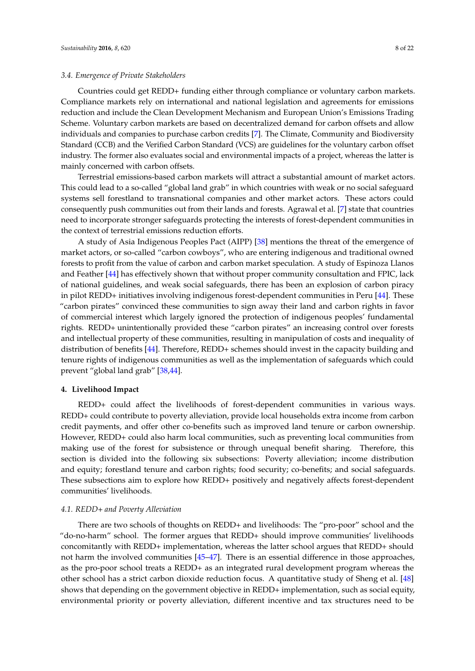#### *3.4. Emergence of Private Stakeholders*

Countries could get REDD+ funding either through compliance or voluntary carbon markets. Compliance markets rely on international and national legislation and agreements for emissions reduction and include the Clean Development Mechanism and European Union's Emissions Trading Scheme. Voluntary carbon markets are based on decentralized demand for carbon offsets and allow individuals and companies to purchase carbon credits [\[7\]](#page-17-2). The Climate, Community and Biodiversity Standard (CCB) and the Verified Carbon Standard (VCS) are guidelines for the voluntary carbon offset industry. The former also evaluates social and environmental impacts of a project, whereas the latter is mainly concerned with carbon offsets.

Terrestrial emissions-based carbon markets will attract a substantial amount of market actors. This could lead to a so-called "global land grab" in which countries with weak or no social safeguard systems sell forestland to transnational companies and other market actors. These actors could consequently push communities out from their lands and forests. Agrawal et al. [\[7\]](#page-17-2) state that countries need to incorporate stronger safeguards protecting the interests of forest-dependent communities in the context of terrestrial emissions reduction efforts.

A study of Asia Indigenous Peoples Pact (AIPP) [\[38\]](#page-18-11) mentions the threat of the emergence of market actors, or so-called "carbon cowboys", who are entering indigenous and traditional owned forests to profit from the value of carbon and carbon market speculation. A study of Espinoza Llanos and Feather [\[44\]](#page-19-0) has effectively shown that without proper community consultation and FPIC, lack of national guidelines, and weak social safeguards, there has been an explosion of carbon piracy in pilot REDD+ initiatives involving indigenous forest-dependent communities in Peru [\[44\]](#page-19-0). These "carbon pirates" convinced these communities to sign away their land and carbon rights in favor of commercial interest which largely ignored the protection of indigenous peoples' fundamental rights. REDD+ unintentionally provided these "carbon pirates" an increasing control over forests and intellectual property of these communities, resulting in manipulation of costs and inequality of distribution of benefits [\[44\]](#page-19-0). Therefore, REDD+ schemes should invest in the capacity building and tenure rights of indigenous communities as well as the implementation of safeguards which could prevent "global land grab" [\[38](#page-18-11)[,44\]](#page-19-0).

#### **4. Livelihood Impact**

REDD+ could affect the livelihoods of forest-dependent communities in various ways. REDD+ could contribute to poverty alleviation, provide local households extra income from carbon credit payments, and offer other co-benefits such as improved land tenure or carbon ownership. However, REDD+ could also harm local communities, such as preventing local communities from making use of the forest for subsistence or through unequal benefit sharing. Therefore, this section is divided into the following six subsections: Poverty alleviation; income distribution and equity; forestland tenure and carbon rights; food security; co-benefits; and social safeguards. These subsections aim to explore how REDD+ positively and negatively affects forest-dependent communities' livelihoods.

#### *4.1. REDD+ and Poverty Alleviation*

There are two schools of thoughts on REDD+ and livelihoods: The "pro-poor" school and the "do-no-harm" school. The former argues that REDD+ should improve communities' livelihoods concomitantly with REDD+ implementation, whereas the latter school argues that REDD+ should not harm the involved communities [\[45](#page-19-1)[–47\]](#page-19-2). There is an essential difference in those approaches, as the pro-poor school treats a REDD+ as an integrated rural development program whereas the other school has a strict carbon dioxide reduction focus. A quantitative study of Sheng et al. [\[48\]](#page-19-3) shows that depending on the government objective in REDD+ implementation, such as social equity, environmental priority or poverty alleviation, different incentive and tax structures need to be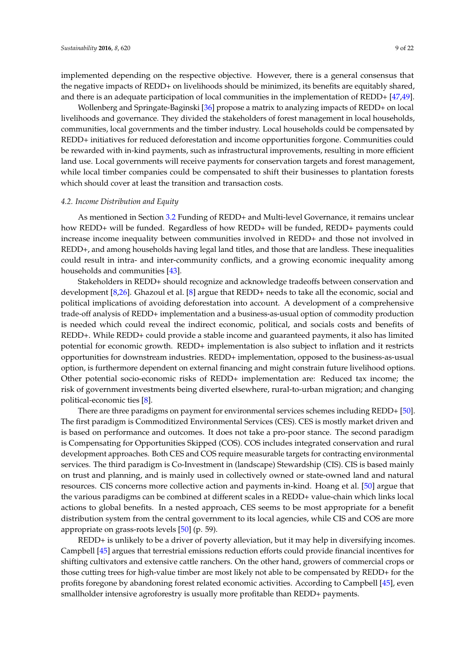implemented depending on the respective objective. However, there is a general consensus that the negative impacts of REDD+ on livelihoods should be minimized, its benefits are equitably shared, and there is an adequate participation of local communities in the implementation of REDD+ [\[47](#page-19-2)[,49\]](#page-19-4).

Wollenberg and Springate-Baginski [\[36\]](#page-18-9) propose a matrix to analyzing impacts of REDD+ on local livelihoods and governance. They divided the stakeholders of forest management in local households, communities, local governments and the timber industry. Local households could be compensated by REDD+ initiatives for reduced deforestation and income opportunities forgone. Communities could be rewarded with in-kind payments, such as infrastructural improvements, resulting in more efficient land use. Local governments will receive payments for conservation targets and forest management, while local timber companies could be compensated to shift their businesses to plantation forests which should cover at least the transition and transaction costs.

#### *4.2. Income Distribution and Equity*

As mentioned in Section [3.2](#page-5-0) Funding of REDD+ and Multi-level Governance, it remains unclear how REDD+ will be funded. Regardless of how REDD+ will be funded, REDD+ payments could increase income inequality between communities involved in REDD+ and those not involved in REDD+, and among households having legal land titles, and those that are landless. These inequalities could result in intra- and inter-community conflicts, and a growing economic inequality among households and communities [\[43\]](#page-18-16).

Stakeholders in REDD+ should recognize and acknowledge tradeoffs between conservation and development [\[8](#page-17-18)[,26\]](#page-17-19). Ghazoul et al. [\[8\]](#page-17-18) argue that REDD+ needs to take all the economic, social and political implications of avoiding deforestation into account. A development of a comprehensive trade-off analysis of REDD+ implementation and a business-as-usual option of commodity production is needed which could reveal the indirect economic, political, and socials costs and benefits of REDD+. While REDD+ could provide a stable income and guaranteed payments, it also has limited potential for economic growth. REDD+ implementation is also subject to inflation and it restricts opportunities for downstream industries. REDD+ implementation, opposed to the business-as-usual option, is furthermore dependent on external financing and might constrain future livelihood options. Other potential socio-economic risks of REDD+ implementation are: Reduced tax income; the risk of government investments being diverted elsewhere, rural-to-urban migration; and changing political-economic ties [\[8\]](#page-17-18).

There are three paradigms on payment for environmental services schemes including REDD+ [\[50\]](#page-19-5). The first paradigm is Commoditized Environmental Services (CES). CES is mostly market driven and is based on performance and outcomes. It does not take a pro-poor stance. The second paradigm is Compensating for Opportunities Skipped (COS). COS includes integrated conservation and rural development approaches. Both CES and COS require measurable targets for contracting environmental services. The third paradigm is Co-Investment in (landscape) Stewardship (CIS). CIS is based mainly on trust and planning, and is mainly used in collectively owned or state-owned land and natural resources. CIS concerns more collective action and payments in-kind. Hoang et al. [\[50\]](#page-19-5) argue that the various paradigms can be combined at different scales in a REDD+ value-chain which links local actions to global benefits. In a nested approach, CES seems to be most appropriate for a benefit distribution system from the central government to its local agencies, while CIS and COS are more appropriate on grass-roots levels [\[50\]](#page-19-5) (p. 59).

REDD+ is unlikely to be a driver of poverty alleviation, but it may help in diversifying incomes. Campbell [\[45\]](#page-19-1) argues that terrestrial emissions reduction efforts could provide financial incentives for shifting cultivators and extensive cattle ranchers. On the other hand, growers of commercial crops or those cutting trees for high-value timber are most likely not able to be compensated by REDD+ for the profits foregone by abandoning forest related economic activities. According to Campbell [\[45\]](#page-19-1), even smallholder intensive agroforestry is usually more profitable than REDD+ payments.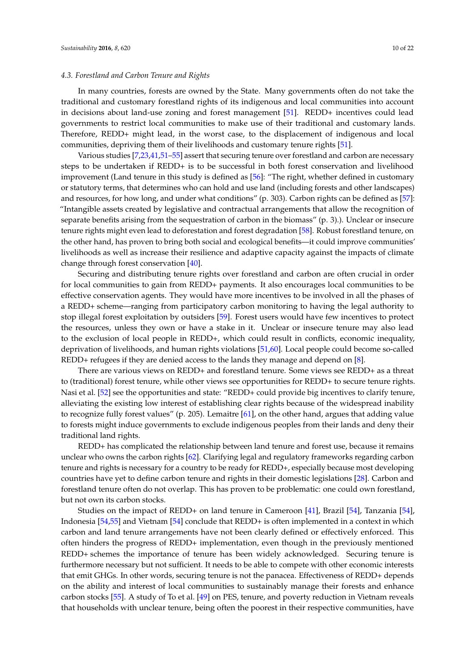#### *4.3. Forestland and Carbon Tenure and Rights*

In many countries, forests are owned by the State. Many governments often do not take the traditional and customary forestland rights of its indigenous and local communities into account in decisions about land-use zoning and forest management [\[51\]](#page-19-6). REDD+ incentives could lead governments to restrict local communities to make use of their traditional and customary lands. Therefore, REDD+ might lead, in the worst case, to the displacement of indigenous and local communities, depriving them of their livelihoods and customary tenure rights [\[51\]](#page-19-6).

Various studies [\[7](#page-17-2)[,23,](#page-17-21)[41,](#page-18-14)[51–](#page-19-6)[55\]](#page-19-7) assert that securing tenure over forestland and carbon are necessary steps to be undertaken if REDD+ is to be successful in both forest conservation and livelihood improvement (Land tenure in this study is defined as [\[56\]](#page-19-8): "The right, whether defined in customary or statutory terms, that determines who can hold and use land (including forests and other landscapes) and resources, for how long, and under what conditions" (p. 303). Carbon rights can be defined as [\[57\]](#page-19-9): "Intangible assets created by legislative and contractual arrangements that allow the recognition of separate benefits arising from the sequestration of carbon in the biomass" (p. 3).). Unclear or insecure tenure rights might even lead to deforestation and forest degradation [\[58\]](#page-19-10). Robust forestland tenure, on the other hand, has proven to bring both social and ecological benefits—it could improve communities' livelihoods as well as increase their resilience and adaptive capacity against the impacts of climate change through forest conservation [\[40\]](#page-18-13).

Securing and distributing tenure rights over forestland and carbon are often crucial in order for local communities to gain from REDD+ payments. It also encourages local communities to be effective conservation agents. They would have more incentives to be involved in all the phases of a REDD+ scheme—ranging from participatory carbon monitoring to having the legal authority to stop illegal forest exploitation by outsiders [\[59\]](#page-19-11). Forest users would have few incentives to protect the resources, unless they own or have a stake in it. Unclear or insecure tenure may also lead to the exclusion of local people in REDD+, which could result in conflicts, economic inequality, deprivation of livelihoods, and human rights violations [\[51](#page-19-6)[,60\]](#page-19-12). Local people could become so-called REDD+ refugees if they are denied access to the lands they manage and depend on [\[8\]](#page-17-18).

There are various views on REDD+ and forestland tenure. Some views see REDD+ as a threat to (traditional) forest tenure, while other views see opportunities for REDD+ to secure tenure rights. Nasi et al. [\[52\]](#page-19-13) see the opportunities and state: "REDD+ could provide big incentives to clarify tenure, alleviating the existing low interest of establishing clear rights because of the widespread inability to recognize fully forest values" (p. 205). Lemaitre [\[61\]](#page-19-14), on the other hand, argues that adding value to forests might induce governments to exclude indigenous peoples from their lands and deny their traditional land rights.

REDD+ has complicated the relationship between land tenure and forest use, because it remains unclear who owns the carbon rights [\[62\]](#page-19-15). Clarifying legal and regulatory frameworks regarding carbon tenure and rights is necessary for a country to be ready for REDD+, especially because most developing countries have yet to define carbon tenure and rights in their domestic legislations [\[28\]](#page-18-1). Carbon and forestland tenure often do not overlap. This has proven to be problematic: one could own forestland, but not own its carbon stocks.

Studies on the impact of REDD+ on land tenure in Cameroon [\[41\]](#page-18-14), Brazil [\[54\]](#page-19-16), Tanzania [\[54\]](#page-19-16), Indonesia [\[54,](#page-19-16)[55\]](#page-19-7) and Vietnam [\[54\]](#page-19-16) conclude that REDD+ is often implemented in a context in which carbon and land tenure arrangements have not been clearly defined or effectively enforced. This often hinders the progress of REDD+ implementation, even though in the previously mentioned REDD+ schemes the importance of tenure has been widely acknowledged. Securing tenure is furthermore necessary but not sufficient. It needs to be able to compete with other economic interests that emit GHGs. In other words, securing tenure is not the panacea. Effectiveness of REDD+ depends on the ability and interest of local communities to sustainably manage their forests and enhance carbon stocks [\[55\]](#page-19-7). A study of To et al. [\[49\]](#page-19-4) on PES, tenure, and poverty reduction in Vietnam reveals that households with unclear tenure, being often the poorest in their respective communities, have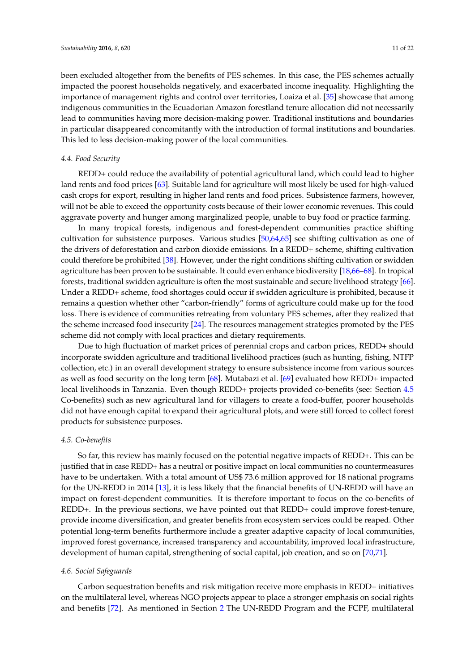been excluded altogether from the benefits of PES schemes. In this case, the PES schemes actually impacted the poorest households negatively, and exacerbated income inequality. Highlighting the importance of management rights and control over territories, Loaiza et al. [\[35\]](#page-18-8) showcase that among indigenous communities in the Ecuadorian Amazon forestland tenure allocation did not necessarily lead to communities having more decision-making power. Traditional institutions and boundaries in particular disappeared concomitantly with the introduction of formal institutions and boundaries. This led to less decision-making power of the local communities.

#### <span id="page-10-1"></span>*4.4. Food Security*

REDD+ could reduce the availability of potential agricultural land, which could lead to higher land rents and food prices [\[63\]](#page-19-17). Suitable land for agriculture will most likely be used for high-valued cash crops for export, resulting in higher land rents and food prices. Subsistence farmers, however, will not be able to exceed the opportunity costs because of their lower economic revenues. This could aggravate poverty and hunger among marginalized people, unable to buy food or practice farming.

In many tropical forests, indigenous and forest-dependent communities practice shifting cultivation for subsistence purposes. Various studies [\[50](#page-19-5)[,64](#page-19-18)[,65\]](#page-20-0) see shifting cultivation as one of the drivers of deforestation and carbon dioxide emissions. In a REDD+ scheme, shifting cultivation could therefore be prohibited [\[38\]](#page-18-11). However, under the right conditions shifting cultivation or swidden agriculture has been proven to be sustainable. It could even enhance biodiversity [\[18,](#page-17-12)[66](#page-20-1)[–68\]](#page-20-2). In tropical forests, traditional swidden agriculture is often the most sustainable and secure livelihood strategy [\[66\]](#page-20-1). Under a REDD+ scheme, food shortages could occur if swidden agriculture is prohibited, because it remains a question whether other "carbon-friendly" forms of agriculture could make up for the food loss. There is evidence of communities retreating from voluntary PES schemes, after they realized that the scheme increased food insecurity [\[24\]](#page-17-16). The resources management strategies promoted by the PES scheme did not comply with local practices and dietary requirements.

Due to high fluctuation of market prices of perennial crops and carbon prices, REDD+ should incorporate swidden agriculture and traditional livelihood practices (such as hunting, fishing, NTFP collection, etc.) in an overall development strategy to ensure subsistence income from various sources as well as food security on the long term [\[68\]](#page-20-2). Mutabazi et al. [\[69\]](#page-20-3) evaluated how REDD+ impacted local livelihoods in Tanzania. Even though REDD+ projects provided co-benefits (see: Section [4.5](#page-10-0) Co-benefits) such as new agricultural land for villagers to create a food-buffer, poorer households did not have enough capital to expand their agricultural plots, and were still forced to collect forest products for subsistence purposes.

#### <span id="page-10-0"></span>*4.5. Co-benefits*

So far, this review has mainly focused on the potential negative impacts of REDD+. This can be justified that in case REDD+ has a neutral or positive impact on local communities no countermeasures have to be undertaken. With a total amount of US\$ 73.6 million approved for 18 national programs for the UN-REDD in 2014 [\[13\]](#page-17-7), it is less likely that the financial benefits of UN-REDD will have an impact on forest-dependent communities. It is therefore important to focus on the co-benefits of REDD+. In the previous sections, we have pointed out that REDD+ could improve forest-tenure, provide income diversification, and greater benefits from ecosystem services could be reaped. Other potential long-term benefits furthermore include a greater adaptive capacity of local communities, improved forest governance, increased transparency and accountability, improved local infrastructure, development of human capital, strengthening of social capital, job creation, and so on [\[70,](#page-20-4)[71\]](#page-20-5).

#### *4.6. Social Safeguards*

Carbon sequestration benefits and risk mitigation receive more emphasis in REDD+ initiatives on the multilateral level, whereas NGO projects appear to place a stronger emphasis on social rights and benefits [\[72\]](#page-20-6). As mentioned in Section [2](#page-2-1) The UN-REDD Program and the FCPF, multilateral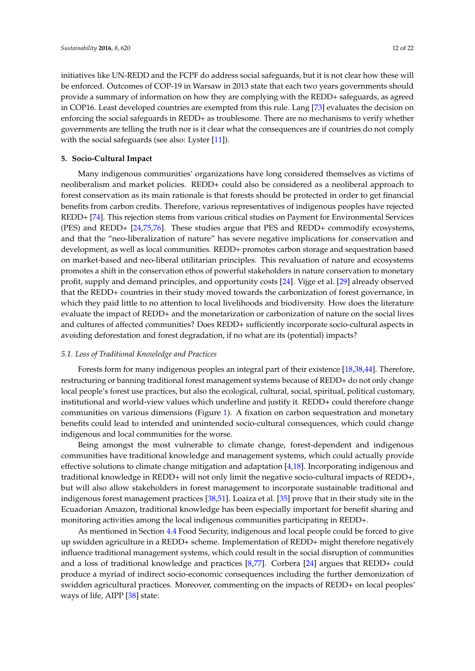initiatives like UN-REDD and the FCPF do address social safeguards, but it is not clear how these will be enforced. Outcomes of COP-19 in Warsaw in 2013 state that each two years governments should provide a summary of information on how they are complying with the REDD+ safeguards, as agreed in COP16. Least developed countries are exempted from this rule. Lang [\[73\]](#page-20-7) evaluates the decision on enforcing the social safeguards in REDD+ as troublesome. There are no mechanisms to verify whether governments are telling the truth nor is it clear what the consequences are if countries do not comply with the social safeguards (see also: Lyster [\[11\]](#page-17-5)).

#### **5. Socio-Cultural Impact**

Many indigenous communities' organizations have long considered themselves as victims of neoliberalism and market policies. REDD+ could also be considered as a neoliberal approach to forest conservation as its main rationale is that forests should be protected in order to get financial benefits from carbon credits. Therefore, various representatives of indigenous peoples have rejected REDD+ [\[74\]](#page-20-8). This rejection stems from various critical studies on Payment for Environmental Services (PES) and REDD+ [\[24,](#page-17-16)[75,](#page-20-9)[76\]](#page-20-10). These studies argue that PES and REDD+ commodify ecosystems, and that the "neo-liberalization of nature" has severe negative implications for conservation and development, as well as local communities. REDD+ promotes carbon storage and sequestration based on market-based and neo-liberal utilitarian principles. This revaluation of nature and ecosystems promotes a shift in the conservation ethos of powerful stakeholders in nature conservation to monetary profit, supply and demand principles, and opportunity costs [\[24\]](#page-17-16). Vijge et al. [\[29\]](#page-18-2) already observed that the REDD+ countries in their study moved towards the carbonization of forest governance, in which they paid little to no attention to local livelihoods and biodiversity. How does the literature evaluate the impact of REDD+ and the monetarization or carbonization of nature on the social lives and cultures of affected communities? Does REDD+ sufficiently incorporate socio-cultural aspects in avoiding deforestation and forest degradation, if no what are its (potential) impacts?

#### *5.1. Loss of Traditional Knowledge and Practices*

Forests form for many indigenous peoples an integral part of their existence [\[18,](#page-17-12)[38,](#page-18-11)[44\]](#page-19-0). Therefore, restructuring or banning traditional forest management systems because of REDD+ do not only change local people's forest use practices, but also the ecological, cultural, social, spiritual, political customary, institutional and world-view values which underline and justify it. REDD+ could therefore change communities on various dimensions (Figure [1\)](#page-2-0). A fixation on carbon sequestration and monetary benefits could lead to intended and unintended socio-cultural consequences, which could change indigenous and local communities for the worse.

Being amongst the most vulnerable to climate change, forest-dependent and indigenous communities have traditional knowledge and management systems, which could actually provide effective solutions to climate change mitigation and adaptation [\[4](#page-16-3)[,18\]](#page-17-12). Incorporating indigenous and traditional knowledge in REDD+ will not only limit the negative socio-cultural impacts of REDD+, but will also allow stakeholders in forest management to incorporate sustainable traditional and indigenous forest management practices [\[38,](#page-18-11)[51\]](#page-19-6). Loaiza et al. [\[35\]](#page-18-8) prove that in their study site in the Ecuadorian Amazon, traditional knowledge has been especially important for benefit sharing and monitoring activities among the local indigenous communities participating in REDD+.

As mentioned in Section [4.4](#page-10-1) Food Security, indigenous and local people could be forced to give up swidden agriculture in a REDD+ scheme. Implementation of REDD+ might therefore negatively influence traditional management systems, which could result in the social disruption of communities and a loss of traditional knowledge and practices [\[8](#page-17-18)[,77\]](#page-20-11). Corbera [\[24\]](#page-17-16) argues that REDD+ could produce a myriad of indirect socio-economic consequences including the further demonization of swidden agricultural practices. Moreover, commenting on the impacts of REDD+ on local peoples' ways of life, AIPP [\[38\]](#page-18-11) state: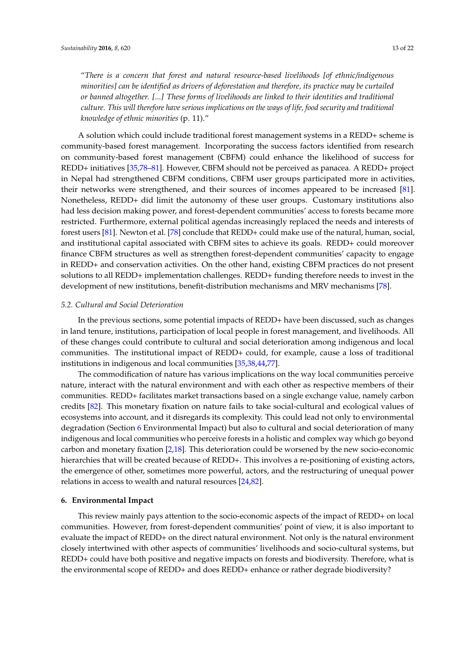"*There is a concern that forest and natural resource-based livelihoods [of ethnic/indigenous minorities] can be identified as drivers of deforestation and therefore, its practice may be curtailed or banned altogether. [...] These forms of livelihoods are linked to their identities and traditional culture. This will therefore have serious implications on the ways of life, food security and traditional knowledge of ethnic minorities* (p. 11)."

A solution which could include traditional forest management systems in a REDD+ scheme is community-based forest management. Incorporating the success factors identified from research on community-based forest management (CBFM) could enhance the likelihood of success for REDD+ initiatives [\[35](#page-18-8)[,78–](#page-20-12)[81\]](#page-20-13). However, CBFM should not be perceived as panacea. A REDD+ project in Nepal had strengthened CBFM conditions, CBFM user groups participated more in activities, their networks were strengthened, and their sources of incomes appeared to be increased [\[81\]](#page-20-13). Nonetheless, REDD+ did limit the autonomy of these user groups. Customary institutions also had less decision making power, and forest-dependent communities' access to forests became more restricted. Furthermore, external political agendas increasingly replaced the needs and interests of forest users [\[81\]](#page-20-13). Newton et al. [\[78\]](#page-20-12) conclude that REDD+ could make use of the natural, human, social, and institutional capital associated with CBFM sites to achieve its goals. REDD+ could moreover finance CBFM structures as well as strengthen forest-dependent communities' capacity to engage in REDD+ and conservation activities. On the other hand, existing CBFM practices do not present solutions to all REDD+ implementation challenges. REDD+ funding therefore needs to invest in the development of new institutions, benefit-distribution mechanisms and MRV mechanisms [\[78\]](#page-20-12).

#### *5.2. Cultural and Social Deterioration*

In the previous sections, some potential impacts of REDD+ have been discussed, such as changes in land tenure, institutions, participation of local people in forest management, and livelihoods. All of these changes could contribute to cultural and social deterioration among indigenous and local communities. The institutional impact of REDD+ could, for example, cause a loss of traditional institutions in indigenous and local communities [\[35,](#page-18-8)[38,](#page-18-11)[44,](#page-19-0)[77\]](#page-20-11).

The commodification of nature has various implications on the way local communities perceive nature, interact with the natural environment and with each other as respective members of their communities. REDD+ facilitates market transactions based on a single exchange value, namely carbon credits [\[82\]](#page-20-14). This monetary fixation on nature fails to take social-cultural and ecological values of ecosystems into account, and it disregards its complexity. This could lead not only to environmental degradation (Section [6](#page-12-0) Environmental Impact) but also to cultural and social deterioration of many indigenous and local communities who perceive forests in a holistic and complex way which go beyond carbon and monetary fixation [\[2,](#page-16-1)[18\]](#page-17-12). This deterioration could be worsened by the new socio-economic hierarchies that will be created because of REDD+. This involves a re-positioning of existing actors, the emergence of other, sometimes more powerful, actors, and the restructuring of unequal power relations in access to wealth and natural resources [\[24](#page-17-16)[,82\]](#page-20-14).

#### <span id="page-12-0"></span>**6. Environmental Impact**

This review mainly pays attention to the socio-economic aspects of the impact of REDD+ on local communities. However, from forest-dependent communities' point of view, it is also important to evaluate the impact of REDD+ on the direct natural environment. Not only is the natural environment closely intertwined with other aspects of communities' livelihoods and socio-cultural systems, but REDD+ could have both positive and negative impacts on forests and biodiversity. Therefore, what is the environmental scope of REDD+ and does REDD+ enhance or rather degrade biodiversity?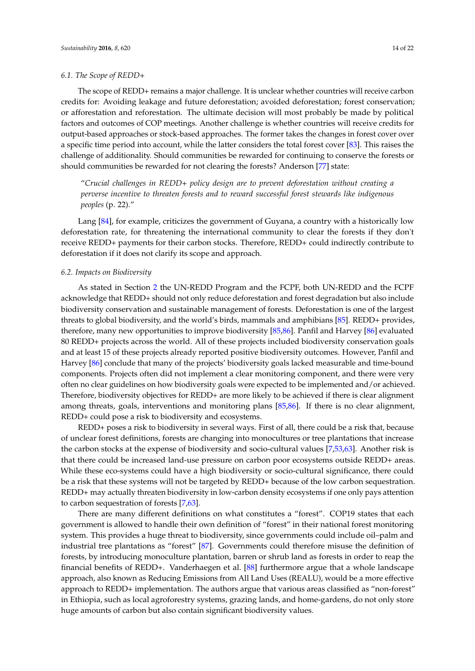#### *6.1. The Scope of REDD+*

The scope of REDD+ remains a major challenge. It is unclear whether countries will receive carbon credits for: Avoiding leakage and future deforestation; avoided deforestation; forest conservation; or afforestation and reforestation. The ultimate decision will most probably be made by political factors and outcomes of COP meetings. Another challenge is whether countries will receive credits for output-based approaches or stock-based approaches. The former takes the changes in forest cover over a specific time period into account, while the latter considers the total forest cover [\[83\]](#page-20-15). This raises the challenge of additionality. Should communities be rewarded for continuing to conserve the forests or should communities be rewarded for not clearing the forests? Anderson [\[77\]](#page-20-11) state:

"*Crucial challenges in REDD+ policy design are to prevent deforestation without creating a perverse incentive to threaten forests and to reward successful forest stewards like indigenous peoples* (p. 22)."

Lang [\[84\]](#page-21-0), for example, criticizes the government of Guyana, a country with a historically low deforestation rate, for threatening the international community to clear the forests if they don't receive REDD+ payments for their carbon stocks. Therefore, REDD+ could indirectly contribute to deforestation if it does not clarify its scope and approach.

#### *6.2. Impacts on Biodiversity*

As stated in Section [2](#page-2-1) the UN-REDD Program and the FCPF, both UN-REDD and the FCPF acknowledge that REDD+ should not only reduce deforestation and forest degradation but also include biodiversity conservation and sustainable management of forests. Deforestation is one of the largest threats to global biodiversity, and the world's birds, mammals and amphibians [\[85\]](#page-21-1). REDD+ provides, therefore, many new opportunities to improve biodiversity [\[85](#page-21-1)[,86\]](#page-21-2). Panfil and Harvey [\[86\]](#page-21-2) evaluated 80 REDD+ projects across the world. All of these projects included biodiversity conservation goals and at least 15 of these projects already reported positive biodiversity outcomes. However, Panfil and Harvey [\[86\]](#page-21-2) conclude that many of the projects' biodiversity goals lacked measurable and time-bound components. Projects often did not implement a clear monitoring component, and there were very often no clear guidelines on how biodiversity goals were expected to be implemented and/or achieved. Therefore, biodiversity objectives for REDD+ are more likely to be achieved if there is clear alignment among threats, goals, interventions and monitoring plans [\[85,](#page-21-1)[86\]](#page-21-2). If there is no clear alignment, REDD+ could pose a risk to biodiversity and ecosystems.

REDD+ poses a risk to biodiversity in several ways. First of all, there could be a risk that, because of unclear forest definitions, forests are changing into monocultures or tree plantations that increase the carbon stocks at the expense of biodiversity and socio-cultural values [\[7](#page-17-2)[,53](#page-19-19)[,63\]](#page-19-17). Another risk is that there could be increased land-use pressure on carbon poor ecosystems outside REDD+ areas. While these eco-systems could have a high biodiversity or socio-cultural significance, there could be a risk that these systems will not be targeted by REDD+ because of the low carbon sequestration. REDD+ may actually threaten biodiversity in low-carbon density ecosystems if one only pays attention to carbon sequestration of forests [\[7](#page-17-2)[,63\]](#page-19-17).

There are many different definitions on what constitutes a "forest". COP19 states that each government is allowed to handle their own definition of "forest" in their national forest monitoring system. This provides a huge threat to biodiversity, since governments could include oil–palm and industrial tree plantations as "forest" [\[87\]](#page-21-3). Governments could therefore misuse the definition of forests, by introducing monoculture plantation, barren or shrub land as forests in order to reap the financial benefits of REDD+. Vanderhaegen et al. [\[88\]](#page-21-4) furthermore argue that a whole landscape approach, also known as Reducing Emissions from All Land Uses (REALU), would be a more effective approach to REDD+ implementation. The authors argue that various areas classified as "non-forest" in Ethiopia, such as local agroforestry systems, grazing lands, and home-gardens, do not only store huge amounts of carbon but also contain significant biodiversity values.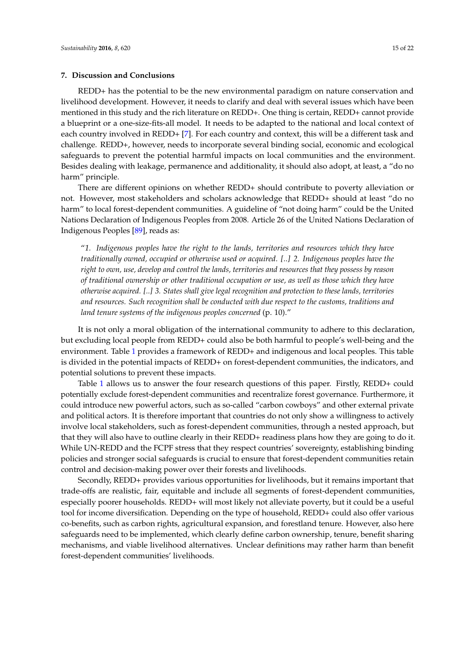#### <span id="page-14-0"></span>**7. Discussion and Conclusions**

REDD+ has the potential to be the new environmental paradigm on nature conservation and livelihood development. However, it needs to clarify and deal with several issues which have been mentioned in this study and the rich literature on REDD+. One thing is certain, REDD+ cannot provide a blueprint or a one-size-fits-all model. It needs to be adapted to the national and local context of each country involved in REDD+ [\[7\]](#page-17-2). For each country and context, this will be a different task and challenge. REDD+, however, needs to incorporate several binding social, economic and ecological safeguards to prevent the potential harmful impacts on local communities and the environment. Besides dealing with leakage, permanence and additionality, it should also adopt, at least, a "do no harm" principle.

There are different opinions on whether REDD+ should contribute to poverty alleviation or not. However, most stakeholders and scholars acknowledge that REDD+ should at least "do no harm" to local forest-dependent communities. A guideline of "not doing harm" could be the United Nations Declaration of Indigenous Peoples from 2008. Article 26 of the United Nations Declaration of Indigenous Peoples [\[89\]](#page-21-5), reads as:

"*1. Indigenous peoples have the right to the lands, territories and resources which they have traditionally owned, occupied or otherwise used or acquired. [..] 2. Indigenous peoples have the right to own, use, develop and control the lands, territories and resources that they possess by reason of traditional ownership or other traditional occupation or use, as well as those which they have otherwise acquired. [..] 3. States shall give legal recognition and protection to these lands, territories and resources. Such recognition shall be conducted with due respect to the customs, traditions and land tenure systems of the indigenous peoples concerned* (p. 10)."

It is not only a moral obligation of the international community to adhere to this declaration, but excluding local people from REDD+ could also be both harmful to people's well-being and the environment. Table [1](#page-15-0) provides a framework of REDD+ and indigenous and local peoples. This table is divided in the potential impacts of REDD+ on forest-dependent communities, the indicators, and potential solutions to prevent these impacts.

Table [1](#page-15-0) allows us to answer the four research questions of this paper. Firstly, REDD+ could potentially exclude forest-dependent communities and recentralize forest governance. Furthermore, it could introduce new powerful actors, such as so-called "carbon cowboys" and other external private and political actors. It is therefore important that countries do not only show a willingness to actively involve local stakeholders, such as forest-dependent communities, through a nested approach, but that they will also have to outline clearly in their REDD+ readiness plans how they are going to do it. While UN-REDD and the FCPF stress that they respect countries' sovereignty, establishing binding policies and stronger social safeguards is crucial to ensure that forest-dependent communities retain control and decision-making power over their forests and livelihoods.

Secondly, REDD+ provides various opportunities for livelihoods, but it remains important that trade-offs are realistic, fair, equitable and include all segments of forest-dependent communities, especially poorer households. REDD+ will most likely not alleviate poverty, but it could be a useful tool for income diversification. Depending on the type of household, REDD+ could also offer various co-benefits, such as carbon rights, agricultural expansion, and forestland tenure. However, also here safeguards need to be implemented, which clearly define carbon ownership, tenure, benefit sharing mechanisms, and viable livelihood alternatives. Unclear definitions may rather harm than benefit forest-dependent communities' livelihoods.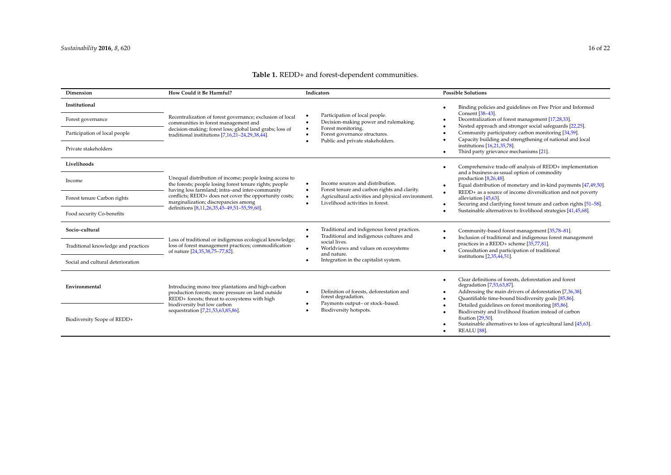# **Table 1.** REDD+ and forest-dependent communities.

<span id="page-15-0"></span>

| Dimension                           | How Could it Be Harmful?                                                                                                                                                                                                                                                                                               | Indicators                                                                                                                                                                                                                        | <b>Possible Solutions</b>                                                                                                                                                                                                                                                                                                                                                                                                                    |
|-------------------------------------|------------------------------------------------------------------------------------------------------------------------------------------------------------------------------------------------------------------------------------------------------------------------------------------------------------------------|-----------------------------------------------------------------------------------------------------------------------------------------------------------------------------------------------------------------------------------|----------------------------------------------------------------------------------------------------------------------------------------------------------------------------------------------------------------------------------------------------------------------------------------------------------------------------------------------------------------------------------------------------------------------------------------------|
| Institutional                       | Recentralization of forest governance; exclusion of local<br>communities in forest management and<br>decision-making; forest loss; global land grabs; loss of<br>traditional institutions $[7,16,21-24,29,38,44]$ .                                                                                                    | Participation of local people.<br>$\bullet$<br>Decision-making power and rulemaking.<br>$\bullet$<br>Forest monitoring.<br>$\bullet$<br>Forest governance structures.<br>Public and private stakeholders.                         | Binding policies and guidelines on Free Prior and Informed<br>Consent [38-43].<br>Decentralization of forest management [17,28,33].<br>٠<br>Nested approach and stronger social safeguards [22,25].<br>Community participatory carbon monitoring [34,59].<br>Capacity building and strengthening of national and local<br>institutions [16,21,35,78].<br>Third party grievance mechanisms [21].                                              |
| Forest governance                   |                                                                                                                                                                                                                                                                                                                        |                                                                                                                                                                                                                                   |                                                                                                                                                                                                                                                                                                                                                                                                                                              |
| Participation of local people       |                                                                                                                                                                                                                                                                                                                        |                                                                                                                                                                                                                                   |                                                                                                                                                                                                                                                                                                                                                                                                                                              |
| Private stakeholders                |                                                                                                                                                                                                                                                                                                                        |                                                                                                                                                                                                                                   |                                                                                                                                                                                                                                                                                                                                                                                                                                              |
| Livelihoods                         | Unequal distribution of income; people losing access to<br>the forests; people losing forest tenure rights; people<br>having less farmland; intra-and inter-community<br>conflicts; REDD+ does not cover the opportunity costs;<br>marginalization; discrepancies among<br>definitions [8,11,26,35,45-49,51-55,59,60]. | Income sources and distribution.<br>$\bullet$<br>Forest tenure and carbon rights and clarity.<br>$\bullet$<br>Agricultural activities and physical environment.<br>$\bullet$<br>Livelihood activities in forest.<br>$\bullet$     | Comprehensive trade-off analysis of REDD+ implementation<br>and a business-as-usual option of commodity<br>production [8,26,48].<br>Equal distribution of monetary and in-kind payments [47,49,50].<br>REDD+ as a source of income diversification and not poverty<br>$\bullet$<br>alleviation [45,63].<br>Securing and clarifying forest tenure and carbon rights [51-58].<br>Sustainable alternatives to livelihood strategies [41,45,68]. |
| Income                              |                                                                                                                                                                                                                                                                                                                        |                                                                                                                                                                                                                                   |                                                                                                                                                                                                                                                                                                                                                                                                                                              |
| Forest tenure Carbon rights         |                                                                                                                                                                                                                                                                                                                        |                                                                                                                                                                                                                                   |                                                                                                                                                                                                                                                                                                                                                                                                                                              |
| Food security Co-benefits           |                                                                                                                                                                                                                                                                                                                        |                                                                                                                                                                                                                                   |                                                                                                                                                                                                                                                                                                                                                                                                                                              |
| Socio-cultural                      | Loss of traditional or indigenous ecological knowledge;<br>loss of forest management practices; commodification<br>of nature [24,35,38,75-77,82].                                                                                                                                                                      | Traditional and indigenous forest practices.<br>$\bullet$<br>Traditional and indigenous cultures and<br>$\bullet$<br>social lives.<br>Worldviews and values on ecosystems<br>and nature.<br>Integration in the capitalist system. | Community-based forest management [35,78-81].<br>Inclusion of traditional and indigenous forest management<br>$\bullet$<br>practices in a REDD+ scheme [35,77,81].<br>Consultation and participation of traditional<br>institutions $[2,35,44,51]$ .                                                                                                                                                                                         |
| Traditional knowledge and practices |                                                                                                                                                                                                                                                                                                                        |                                                                                                                                                                                                                                   |                                                                                                                                                                                                                                                                                                                                                                                                                                              |
| Social and cultural deterioration   |                                                                                                                                                                                                                                                                                                                        |                                                                                                                                                                                                                                   |                                                                                                                                                                                                                                                                                                                                                                                                                                              |
| Environmental                       | Introducing mono tree plantations and high-carbon<br>production forests; more pressure on land outside<br>REDD+ forests; threat to ecosystems with high<br>biodiversity but low carbon<br>sequestration [7,21,53,63,85,86].                                                                                            | Definition of forests, deforestation and<br>$\bullet$<br>forest degradation.<br>Payments output- or stock-based.<br>$\bullet$<br>Biodiversity hotspots.                                                                           | Clear definitions of forests, deforestation and forest<br>degradation [7,53,63,87].<br>Addressing the main drivers of deforestation [7,36,38].<br>Quantifiable time-bound biodiversity goals [85,86].<br>Detailed guidelines on forest monitoring [85,86].<br>Biodiversity and livelihood fixation instead of carbon<br>fixation $[29,50]$ .<br>Sustainable alternatives to loss of agricultural land [45,63].<br><b>REALU</b> [88].         |
| Biodiversity Scope of REDD+         |                                                                                                                                                                                                                                                                                                                        |                                                                                                                                                                                                                                   |                                                                                                                                                                                                                                                                                                                                                                                                                                              |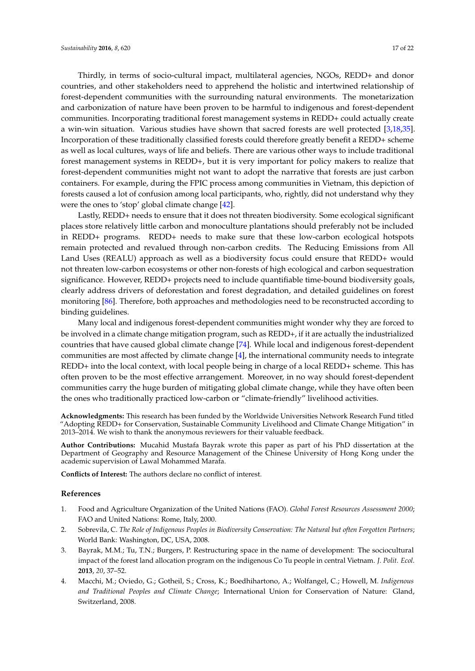Thirdly, in terms of socio-cultural impact, multilateral agencies, NGOs, REDD+ and donor countries, and other stakeholders need to apprehend the holistic and intertwined relationship of forest-dependent communities with the surrounding natural environments. The monetarization and carbonization of nature have been proven to be harmful to indigenous and forest-dependent communities. Incorporating traditional forest management systems in REDD+ could actually create a win-win situation. Various studies have shown that sacred forests are well protected [\[3,](#page-16-2)[18,](#page-17-12)[35\]](#page-18-8). Incorporation of these traditionally classified forests could therefore greatly benefit a REDD+ scheme as well as local cultures, ways of life and beliefs. There are various other ways to include traditional forest management systems in REDD+, but it is very important for policy makers to realize that forest-dependent communities might not want to adopt the narrative that forests are just carbon containers. For example, during the FPIC process among communities in Vietnam, this depiction of forests caused a lot of confusion among local participants, who, rightly, did not understand why they were the ones to 'stop' global climate change [\[42\]](#page-18-15).

Lastly, REDD+ needs to ensure that it does not threaten biodiversity. Some ecological significant places store relatively little carbon and monoculture plantations should preferably not be included in REDD+ programs. REDD+ needs to make sure that these low-carbon ecological hotspots remain protected and revalued through non-carbon credits. The Reducing Emissions from All Land Uses (REALU) approach as well as a biodiversity focus could ensure that REDD+ would not threaten low-carbon ecosystems or other non-forests of high ecological and carbon sequestration significance. However, REDD+ projects need to include quantifiable time-bound biodiversity goals, clearly address drivers of deforestation and forest degradation, and detailed guidelines on forest monitoring [\[86\]](#page-21-2). Therefore, both approaches and methodologies need to be reconstructed according to binding guidelines.

<span id="page-16-4"></span>Many local and indigenous forest-dependent communities might wonder why they are forced to be involved in a climate change mitigation program, such as REDD+, if it are actually the industrialized countries that have caused global climate change [\[74\]](#page-20-8). While local and indigenous forest-dependent communities are most affected by climate change [\[4\]](#page-16-3), the international community needs to integrate REDD+ into the local context, with local people being in charge of a local REDD+ scheme. This has often proven to be the most effective arrangement. Moreover, in no way should forest-dependent communities carry the huge burden of mitigating global climate change, while they have often been the ones who traditionally practiced low-carbon or "climate-friendly" livelihood activities.

**Acknowledgments:** This research has been funded by the Worldwide Universities Network Research Fund titled "Adopting REDD+ for Conservation, Sustainable Community Livelihood and Climate Change Mitigation" in 2013–2014. We wish to thank the anonymous reviewers for their valuable feedback.

**Author Contributions:** Mucahid Mustafa Bayrak wrote this paper as part of his PhD dissertation at the Department of Geography and Resource Management of the Chinese University of Hong Kong under the academic supervision of Lawal Mohammed Marafa.

**Conflicts of Interest:** The authors declare no conflict of interest.

#### **References**

- <span id="page-16-0"></span>1. Food and Agriculture Organization of the United Nations (FAO). *Global Forest Resources Assessment 2000*; FAO and United Nations: Rome, Italy, 2000.
- <span id="page-16-1"></span>2. Sobrevila, C. *The Role of Indigenous Peoples in Biodiversity Conservation: The Natural but often Forgotten Partners*; World Bank: Washington, DC, USA, 2008.
- <span id="page-16-2"></span>3. Bayrak, M.M.; Tu, T.N.; Burgers, P. Restructuring space in the name of development: The sociocultural impact of the forest land allocation program on the indigenous Co Tu people in central Vietnam. *J. Polit. Ecol.* **2013**, *20*, 37–52.
- <span id="page-16-3"></span>4. Macchi, M.; Oviedo, G.; Gotheil, S.; Cross, K.; Boedhihartono, A.; Wolfangel, C.; Howell, M. *Indigenous and Traditional Peoples and Climate Change*; International Union for Conservation of Nature: Gland, Switzerland, 2008.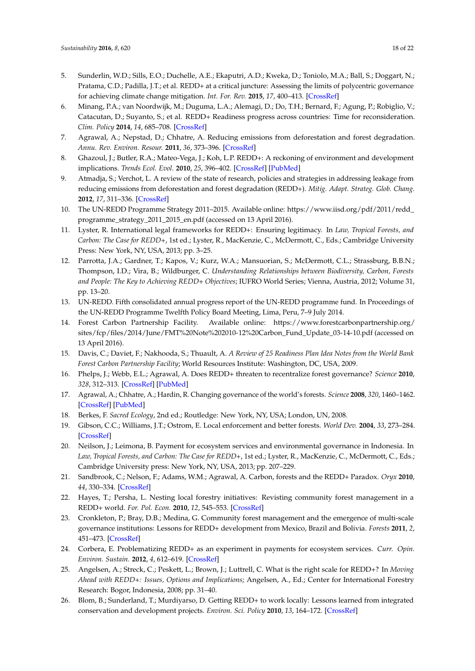- <span id="page-17-29"></span><span id="page-17-28"></span><span id="page-17-22"></span><span id="page-17-0"></span>5. Sunderlin, W.D.; Sills, E.O.; Duchelle, A.E.; Ekaputri, A.D.; Kweka, D.; Toniolo, M.A.; Ball, S.; Doggart, N.; Pratama, C.D.; Padilla, J.T.; et al. REDD+ at a critical juncture: Assessing the limits of polycentric governance for achieving climate change mitigation. *Int. For. Rev.* **2015**, *17*, 400–413. [\[CrossRef\]](http://dx.doi.org/10.1505/146554815817476468)
- <span id="page-17-1"></span>6. Minang, P.A.; van Noordwijk, M.; Duguma, L.A.; Alemagi, D.; Do, T.H.; Bernard, F.; Agung, P.; Robiglio, V.; Catacutan, D.; Suyanto, S.; et al. REDD+ Readiness progress across countries: Time for reconsideration. *Clim. Policy* **2014**, *14*, 685–708. [\[CrossRef\]](http://dx.doi.org/10.1080/14693062.2014.905822)
- <span id="page-17-2"></span>7. Agrawal, A.; Nepstad, D.; Chhatre, A. Reducing emissions from deforestation and forest degradation. *Annu. Rev. Environ. Resour.* **2011**, *36*, 373–396. [\[CrossRef\]](http://dx.doi.org/10.1146/annurev-environ-042009-094508)
- <span id="page-17-18"></span>8. Ghazoul, J.; Butler, R.A.; Mateo-Vega, J.; Koh, L.P. REDD+: A reckoning of environment and development implications. *Trends Ecol. Evol.* **2010**, *25*, 396–402. [\[CrossRef\]](http://dx.doi.org/10.1016/j.tree.2010.03.005) [\[PubMed\]](http://www.ncbi.nlm.nih.gov/pubmed/20417579)
- <span id="page-17-26"></span><span id="page-17-23"></span><span id="page-17-3"></span>9. Atmadja, S.; Verchot, L. A review of the state of research, policies and strategies in addressing leakage from reducing emissions from deforestation and forest degradation (REDD+). *Mitig. Adapt. Strateg. Glob. Chang.* **2012**, *17*, 311–336. [\[CrossRef\]](http://dx.doi.org/10.1007/s11027-011-9328-4)
- <span id="page-17-4"></span>10. The UN-REDD Programme Strategy 2011–2015. Available online: [https://www.iisd.org/pdf/2011/redd\\_](https://www.iisd.org/pdf/2011/redd_programme_strategy_2011_2015_en.pdf) [programme\\_strategy\\_2011\\_2015\\_en.pdf](https://www.iisd.org/pdf/2011/redd_programme_strategy_2011_2015_en.pdf) (accessed on 13 April 2016).
- <span id="page-17-5"></span>11. Lyster, R. International legal frameworks for REDD+: Ensuring legitimacy. In *Law, Tropical Forests, and Carbon: The Case for REDD+*, 1st ed.; Lyster, R., MacKenzie, C., McDermott, C., Eds.; Cambridge University Press: New York, NY, USA, 2013; pp. 3–25.
- <span id="page-17-24"></span><span id="page-17-6"></span>12. Parrotta, J.A.; Gardner, T.; Kapos, V.; Kurz, W.A.; Mansuorian, S.; McDermott, C.L.; Strassburg, B.B.N.; Thompson, I.D.; Vira, B.; Wildburger, C. *Understanding Relationships between Biodiversity, Carbon, Forests and People: The Key to Achieving REDD+ Objectives*; IUFRO World Series; Vienna, Austria, 2012; Volume 31, pp. 13–20.
- <span id="page-17-27"></span><span id="page-17-7"></span>13. UN-REDD. Fifth consolidated annual progress report of the UN-REDD programme fund. In Proceedings of the UN-REDD Programme Twelfth Policy Board Meeting, Lima, Peru, 7–9 July 2014.
- <span id="page-17-8"></span>14. Forest Carbon Partnership Facility. Available online: [https://www.forestcarbonpartnership.org/](https://www.forestcarbonpartnership.org/sites/fcp/files/2014/June/FMT%20Note%202010-12%20Carbon_Fund_Update_03-14-10.pdf) [sites/fcp/files/2014/June/FMT%20Note%202010-12%20Carbon\\_Fund\\_Update\\_03-14-10.pdf](https://www.forestcarbonpartnership.org/sites/fcp/files/2014/June/FMT%20Note%202010-12%20Carbon_Fund_Update_03-14-10.pdf) (accessed on 13 April 2016).
- <span id="page-17-25"></span><span id="page-17-9"></span>15. Davis, C.; Daviet, F.; Nakhooda, S.; Thuault, A. *A Review of 25 Readiness Plan Idea Notes from the World Bank Forest Carbon Partnership Facility*; World Resources Institute: Washington, DC, USA, 2009.
- <span id="page-17-10"></span>16. Phelps, J.; Webb, E.L.; Agrawal, A. Does REDD+ threaten to recentralize forest governance? *Science* **2010**, *328*, 312–313. [\[CrossRef\]](http://dx.doi.org/10.1126/science.1187774) [\[PubMed\]](http://www.ncbi.nlm.nih.gov/pubmed/20395498)
- <span id="page-17-30"></span><span id="page-17-11"></span>17. Agrawal, A.; Chhatre, A.; Hardin, R. Changing governance of the world's forests. *Science* **2008**, *320*, 1460–1462. [\[CrossRef\]](http://dx.doi.org/10.1126/science.1155369) [\[PubMed\]](http://www.ncbi.nlm.nih.gov/pubmed/18556552)
- <span id="page-17-12"></span>18. Berkes, F. *Sacred Ecology*, 2nd ed.; Routledge: New York, NY, USA; London, UN, 2008.
- <span id="page-17-13"></span>19. Gibson, C.C.; Williams, J.T.; Ostrom, E. Local enforcement and better forests. *World Dev.* **2004**, *33*, 273–284. [\[CrossRef\]](http://dx.doi.org/10.1016/j.worlddev.2004.07.013)
- <span id="page-17-14"></span>20. Neilson, J.; Leimona, B. Payment for ecosystem services and environmental governance in Indonesia. In *Law, Tropical Forests, and Carbon: The Case for REDD+*, 1st ed.; Lyster, R., MacKenzie, C., McDermott, C., Eds.; Cambridge University press: New York, NY, USA, 2013; pp. 207–229.
- <span id="page-17-15"></span>21. Sandbrook, C.; Nelson, F.; Adams, W.M.; Agrawal, A. Carbon, forests and the REDD+ Paradox. *Oryx* **2010**, *44*, 330–334. [\[CrossRef\]](http://dx.doi.org/10.1017/S0030605310000475)
- <span id="page-17-20"></span>22. Hayes, T.; Persha, L. Nesting local forestry initiatives: Revisting community forest management in a REDD+ world. *For. Pol. Econ.* **2010**, *12*, 545–553. [\[CrossRef\]](http://dx.doi.org/10.1016/j.forpol.2010.07.003)
- <span id="page-17-21"></span>23. Cronkleton, P.; Bray, D.B.; Medina, G. Community forest management and the emergence of multi-scale governance institutions: Lessons for REDD+ development from Mexico, Brazil and Bolivia. *Forests* **2011**, *2*, 451–473. [\[CrossRef\]](http://dx.doi.org/10.3390/f2020451)
- <span id="page-17-16"></span>24. Corbera, E. Problematizing REDD+ as an experiment in payments for ecosystem services. *Curr. Opin. Environ. Sustain.* **2012**, *4*, 612–619. [\[CrossRef\]](http://dx.doi.org/10.1016/j.cosust.2012.09.010)
- <span id="page-17-17"></span>25. Angelsen, A.; Streck, C.; Peskett, L.; Brown, J.; Luttrell, C. What is the right scale for REDD+? In *Moving Ahead with REDD+: Issues, Options and Implications*; Angelsen, A., Ed.; Center for International Forestry Research: Bogor, Indonesia, 2008; pp. 31–40.
- <span id="page-17-19"></span>26. Blom, B.; Sunderland, T.; Murdiyarso, D. Getting REDD+ to work locally: Lessons learned from integrated conservation and development projects. *Environ. Sci. Policy* **2010**, *13*, 164–172. [\[CrossRef\]](http://dx.doi.org/10.1016/j.envsci.2010.01.002)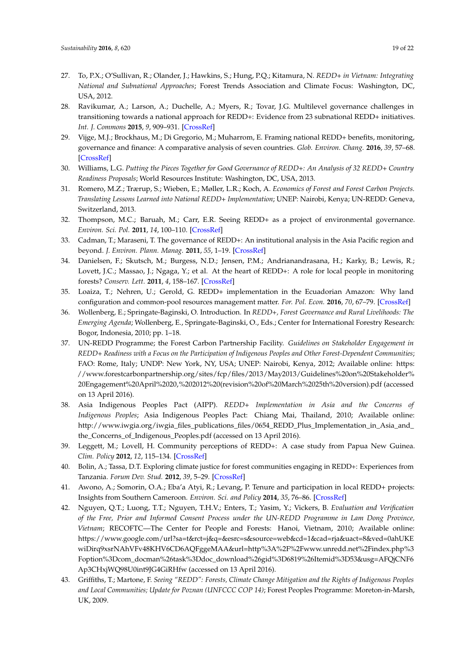- <span id="page-18-23"></span><span id="page-18-22"></span><span id="page-18-21"></span><span id="page-18-20"></span><span id="page-18-17"></span><span id="page-18-0"></span>27. To, P.X.; O'Sullivan, R.; Olander, J.; Hawkins, S.; Hung, P.Q.; Kitamura, N. *REDD+ in Vietnam: Integrating National and Subnational Approaches*; Forest Trends Association and Climate Focus: Washington, DC, USA, 2012.
- <span id="page-18-24"></span><span id="page-18-1"></span>28. Ravikumar, A.; Larson, A.; Duchelle, A.; Myers, R.; Tovar, J.G. Multilevel governance challenges in transitioning towards a national approach for REDD+: Evidence from 23 subnational REDD+ initiatives. *Int. J. Commons* **2015**, *9*, 909–931. [\[CrossRef\]](http://dx.doi.org/10.18352/ijc.593)
- <span id="page-18-2"></span>29. Vijge, M.J.; Brockhaus, M.; Di Gregorio, M.; Muharrom, E. Framing national REDD+ benefits, monitoring, governance and finance: A comparative analysis of seven countries. *Glob. Environ. Chang.* **2016**, *39*, 57–68. [\[CrossRef\]](http://dx.doi.org/10.1016/j.gloenvcha.2016.04.002)
- <span id="page-18-3"></span>30. Williams, L.G. *Putting the Pieces Together for Good Governance of REDD+: An Analysis of 32 REDD+ Country Readiness Proposals*; World Resources Institute: Washington, DC, USA, 2013.
- <span id="page-18-18"></span><span id="page-18-4"></span>31. Romero, M.Z.; Trærup, S.; Wieben, E.; Møller, L.R.; Koch, A. *Economics of Forest and Forest Carbon Projects. Translating Lessons Learned into National REDD+ Implementation*; UNEP: Nairobi, Kenya; UN-REDD: Geneva, Switzerland, 2013.
- <span id="page-18-5"></span>32. Thompson, M.C.; Baruah, M.; Carr, E.R. Seeing REDD+ as a project of environmental governance. *Environ. Sci. Pol.* **2011**, *14*, 100–110. [\[CrossRef\]](http://dx.doi.org/10.1016/j.envsci.2010.11.006)
- <span id="page-18-6"></span>33. Cadman, T.; Maraseni, T. The governance of REDD+: An institutional analysis in the Asia Pacific region and beyond. *J. Environ. Plann. Manag.* **2011**, *55*, 1–19. [\[CrossRef\]](http://dx.doi.org/10.1080/09640568.2011.619851)
- <span id="page-18-7"></span>34. Danielsen, F.; Skutsch, M.; Burgess, N.D.; Jensen, P.M.; Andrianandrasana, H.; Karky, B.; Lewis, R.; Lovett, J.C.; Massao, J.; Ngaga, Y.; et al. At the heart of REDD+: A role for local people in monitoring forests? *Conserv. Lett.* **2011**, *4*, 158–167. [\[CrossRef\]](http://dx.doi.org/10.1111/j.1755-263X.2010.00159.x)
- <span id="page-18-8"></span>35. Loaiza, T.; Nehren, U.; Gerold, G. REDD+ implementation in the Ecuadorian Amazon: Why land configuration and common-pool resources management matter. *For. Pol. Econ.* **2016**, *70*, 67–79. [\[CrossRef\]](http://dx.doi.org/10.1016/j.forpol.2016.05.016)
- <span id="page-18-9"></span>36. Wollenberg, E.; Springate-Baginski, O. Introduction. In *REDD+, Forest Governance and Rural Livelihoods: The Emerging Agenda*; Wollenberg, E., Springate-Baginski, O., Eds.; Center for International Forestry Research: Bogor, Indonesia, 2010; pp. 1–18.
- <span id="page-18-10"></span>37. UN-REDD Programme; the Forest Carbon Partnership Facility. *Guidelines on Stakeholder Engagement in REDD+ Readiness with a Focus on the Participation of Indigenous Peoples and Other Forest-Dependent Communities*; FAO: Rome, Italy; UNDP: New York, NY, USA; UNEP: Nairobi, Kenya, 2012; Available online: [https:](https://www.forestcarbonpartnership.org/sites/fcp/files/2013/May2013/Guidelines%20on%20Stakeholder%20Engagement%20April%2020,%202012%20(revision%20of%20March%2025th%20version).pdf) [//www.forestcarbonpartnership.org/sites/fcp/files/2013/May2013/Guidelines%20on%20Stakeholder%](https://www.forestcarbonpartnership.org/sites/fcp/files/2013/May2013/Guidelines%20on%20Stakeholder%20Engagement%20April%2020,%202012%20(revision%20of%20March%2025th%20version).pdf) [20Engagement%20April%2020,%202012%20\(revision%20of%20March%2025th%20version\).pdf](https://www.forestcarbonpartnership.org/sites/fcp/files/2013/May2013/Guidelines%20on%20Stakeholder%20Engagement%20April%2020,%202012%20(revision%20of%20March%2025th%20version).pdf) (accessed on 13 April 2016).
- <span id="page-18-19"></span><span id="page-18-11"></span>38. Asia Indigenous Peoples Pact (AIPP). *REDD+ Implementation in Asia and the Concerns of Indigenous Peoples*; Asia Indigenous Peoples Pact: Chiang Mai, Thailand, 2010; Available online: [http://www.iwgia.org/iwgia\\_files\\_publications\\_files/0654\\_REDD\\_Plus\\_Implementation\\_in\\_Asia\\_and\\_](http://www.iwgia.org/iwgia_files_publications_files/0654_REDD_Plus_Implementation_in_Asia_and_the_Concerns_of_Indigenous_Peoples.pdf) [the\\_Concerns\\_of\\_Indigenous\\_Peoples.pdf](http://www.iwgia.org/iwgia_files_publications_files/0654_REDD_Plus_Implementation_in_Asia_and_the_Concerns_of_Indigenous_Peoples.pdf) (accessed on 13 April 2016).
- <span id="page-18-12"></span>39. Leggett, M.; Lovell, H. Community perceptions of REDD+: A case study from Papua New Guinea. *Clim. Policy* **2012**, *12*, 115–134. [\[CrossRef\]](http://dx.doi.org/10.1080/14693062.2011.579317)
- <span id="page-18-13"></span>40. Bolin, A.; Tassa, D.T. Exploring climate justice for forest communities engaging in REDD+: Experiences from Tanzania. *Forum Dev. Stud.* **2012**, *39*, 5–29. [\[CrossRef\]](http://dx.doi.org/10.1080/08039410.2011.635380)
- <span id="page-18-14"></span>41. Awono, A.; Somorin, O.A.; Eba'a Atyi, R.; Levang, P. Tenure and participation in local REDD+ projects: Insights from Southern Cameroon. *Environ. Sci. and Policy* **2014**, *35*, 76–86. [\[CrossRef\]](http://dx.doi.org/10.1016/j.envsci.2013.01.017)
- <span id="page-18-15"></span>42. Nguyen, Q.T.; Luong, T.T.; Nguyen, T.H.V.; Enters, T.; Yasim, Y.; Vickers, B. *Evaluation and Verification of the Free, Prior and Informed Consent Process under the UN-REDD Programme in Lam Dong Province, Vietnam*; RECOFTC—The Center for People and Forests: Hanoi, Vietnam, 2010; Available online: https://www.google.com/url?sa=t&rct=j&q=&esrc=s&source=web&cd=1&cad=rja&uact=8&ved=0ahUKE wiDirq9xsrNAhVFv48KHV6CD6AQFggeMAA&url=http%3A%2F%2Fwww.unredd.net%2Findex.php%3 Foption%3Dcom\_docman%26task%3Ddoc\_download%26gid%3D6819%26Itemid%3D53&usg=AFQjCNF6 Ap3CHxjWQ98U0int9JG4GiRHfw (accessed on 13 April 2016).
- <span id="page-18-16"></span>43. Griffiths, T.; Martone, F. *Seeing "REDD": Forests, Climate Change Mitigation and the Rights of Indigenous Peoples and Local Communities; Update for Poznan (UNFCCC COP 14)*; Forest Peoples Programme: Moreton-in-Marsh, UK, 2009.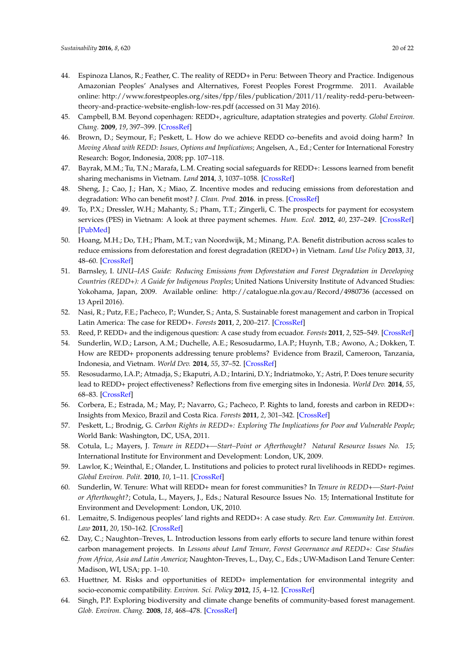- <span id="page-19-28"></span><span id="page-19-27"></span><span id="page-19-26"></span><span id="page-19-23"></span><span id="page-19-22"></span><span id="page-19-21"></span><span id="page-19-20"></span><span id="page-19-0"></span>44. Espinoza Llanos, R.; Feather, C. The reality of REDD+ in Peru: Between Theory and Practice. Indigenous Amazonian Peoples' Analyses and Alternatives, Forest Peoples Forest Progrmme. 2011. Available online: [http://www.forestpeoples.org/sites/fpp/files/publication/2011/11/reality-redd-peru-between](http://www.forestpeoples.org/sites/fpp/files/publication/2011/11/reality-redd-peru-between-theory-and-practice-website-english-low-res.pdf)[theory-and-practice-website-english-low-res.pdf](http://www.forestpeoples.org/sites/fpp/files/publication/2011/11/reality-redd-peru-between-theory-and-practice-website-english-low-res.pdf) (accessed on 31 May 2016).
- <span id="page-19-1"></span>45. Campbell, B.M. Beyond copenhagen: REDD+, agriculture, adaptation strategies and poverty. *Global Environ. Chang.* **2009**, *19*, 397–399. [\[CrossRef\]](http://dx.doi.org/10.1016/j.gloenvcha.2009.07.010)
- <span id="page-19-31"></span>46. Brown, D.; Seymour, F.; Peskett, L. How do we achieve REDD co–benefits and avoid doing harm? In *Moving Ahead with REDD: Issues, Options and Implications*; Angelsen, A., Ed.; Center for International Forestry Research: Bogor, Indonesia, 2008; pp. 107–118.
- <span id="page-19-24"></span><span id="page-19-2"></span>47. Bayrak, M.M.; Tu, T.N.; Marafa, L.M. Creating social safeguards for REDD+: Lessons learned from benefit sharing mechanisms in Vietnam. *Land* **2014**, *3*, 1037–1058. [\[CrossRef\]](http://dx.doi.org/10.3390/land3031037)
- <span id="page-19-3"></span>48. Sheng, J.; Cao, J.; Han, X.; Miao, Z. Incentive modes and reducing emissions from deforestation and degradation: Who can benefit most? *J. Clean. Prod.* **2016**. in press. [\[CrossRef\]](http://dx.doi.org/10.1016/j.jclepro.2016.04.042)
- <span id="page-19-4"></span>49. To, P.X.; Dressler, W.H.; Mahanty, S.; Pham, T.T.; Zingerli, C. The prospects for payment for ecosystem services (PES) in Vietnam: A look at three payment schemes. *Hum. Ecol.* **2012**, *40*, 237–249. [\[CrossRef\]](http://dx.doi.org/10.1007/s10745-012-9480-9) [\[PubMed\]](http://www.ncbi.nlm.nih.gov/pubmed/22523444)
- <span id="page-19-30"></span><span id="page-19-5"></span>50. Hoang, M.H.; Do, T.H.; Pham, M.T.; van Noordwijk, M.; Minang, P.A. Benefit distribution across scales to reduce emissions from deforestation and forest degradation (REDD+) in Vietnam. *Land Use Policy* **2013**, *31*, 48–60. [\[CrossRef\]](http://dx.doi.org/10.1016/j.landusepol.2011.09.013)
- <span id="page-19-25"></span><span id="page-19-6"></span>51. Barnsley, I. *UNU–IAS Guide: Reducing Emissions from Deforestation and Forest Degradation in Developing Countries (REDD+): A Guide for Indigenous Peoples*; United Nations University Institute of Advanced Studies: Yokohama, Japan, 2009. Available online: <http://catalogue.nla.gov.au/Record/4980736> (accessed on 13 April 2016).
- <span id="page-19-13"></span>52. Nasi, R.; Putz, F.E.; Pacheco, P.; Wunder, S.; Anta, S. Sustainable forest management and carbon in Tropical Latin America: The case for REDD+. *Forests* **2011**, *2*, 200–217. [\[CrossRef\]](http://dx.doi.org/10.3390/f2010200)
- <span id="page-19-19"></span>53. Reed, P. REDD+ and the indigenous question: A case study from ecuador. *Forests* **2011**, *2*, 525–549. [\[CrossRef\]](http://dx.doi.org/10.3390/f2020525)
- <span id="page-19-16"></span>54. Sunderlin, W.D.; Larson, A.M.; Duchelle, A.E.; Resosudarmo, I.A.P.; Huynh, T.B.; Awono, A.; Dokken, T. How are REDD+ proponents addressing tenure problems? Evidence from Brazil, Cameroon, Tanzania, Indonesia, and Vietnam. *World Dev.* **2014**, *55*, 37–52. [\[CrossRef\]](http://dx.doi.org/10.1016/j.worlddev.2013.01.013)
- <span id="page-19-29"></span><span id="page-19-7"></span>55. Resosudarmo, I.A.P.; Atmadja, S.; Ekaputri, A.D.; Intarini, D.Y.; Indriatmoko, Y.; Astri, P. Does tenure security lead to REDD+ project effectiveness? Reflections from five emerging sites in Indonesia. *World Dev.* **2014**, *55*, 68–83. [\[CrossRef\]](http://dx.doi.org/10.1016/j.worlddev.2013.01.015)
- <span id="page-19-8"></span>56. Corbera, E.; Estrada, M.; May, P.; Navarro, G.; Pacheco, P. Rights to land, forests and carbon in REDD+: Insights from Mexico, Brazil and Costa Rica. *Forests* **2011**, *2*, 301–342. [\[CrossRef\]](http://dx.doi.org/10.3390/f2010301)
- <span id="page-19-9"></span>57. Peskett, L.; Brodnig, G. *Carbon Rights in REDD+: Exploring The Implications for Poor and Vulnerable People*; World Bank: Washington, DC, USA, 2011.
- <span id="page-19-10"></span>58. Cotula, L.; Mayers, J. *Tenure in REDD+—Start–Point or Afterthought? Natural Resource Issues No. 15*; International Institute for Environment and Development: London, UK, 2009.
- <span id="page-19-11"></span>59. Lawlor, K.; Weinthal, E.; Olander, L. Institutions and policies to protect rural livelihoods in REDD+ regimes. *Global Environ. Polit.* **2010**, *10*, 1–11. [\[CrossRef\]](http://dx.doi.org/10.1162/GLEP_a_00028)
- <span id="page-19-12"></span>60. Sunderlin, W. Tenure: What will REDD+ mean for forest communities? In *Tenure in REDD+—Start-Point or Afterthought?*; Cotula, L., Mayers, J., Eds.; Natural Resource Issues No. 15; International Institute for Environment and Development: London, UK, 2010.
- <span id="page-19-14"></span>61. Lemaitre, S. Indigenous peoples' land rights and REDD+: A case study. *Rev. Eur. Community Int. Environ. Law* **2011**, *20*, 150–162. [\[CrossRef\]](http://dx.doi.org/10.1111/j.1467-9388.2011.00716.x)
- <span id="page-19-15"></span>62. Day, C.; Naughton–Treves, L. Introduction lessons from early efforts to secure land tenure within forest carbon management projects. In *Lessons about Land Tenure, Forest Governance and REDD+: Case Studies from Africa, Asia and Latin America*; Naughton-Treves, L., Day, C., Eds.; UW-Madison Land Tenure Center: Madison, WI, USA; pp. 1–10.
- <span id="page-19-17"></span>63. Huettner, M. Risks and opportunities of REDD+ implementation for environmental integrity and socio-economic compatibility. *Environ. Sci. Policy* **2012**, *15*, 4–12. [\[CrossRef\]](http://dx.doi.org/10.1016/j.envsci.2011.10.002)
- <span id="page-19-18"></span>64. Singh, P.P. Exploring biodiversity and climate change benefits of community-based forest management. *Glob. Environ. Chang.* **2008**, *18*, 468–478. [\[CrossRef\]](http://dx.doi.org/10.1016/j.gloenvcha.2008.04.006)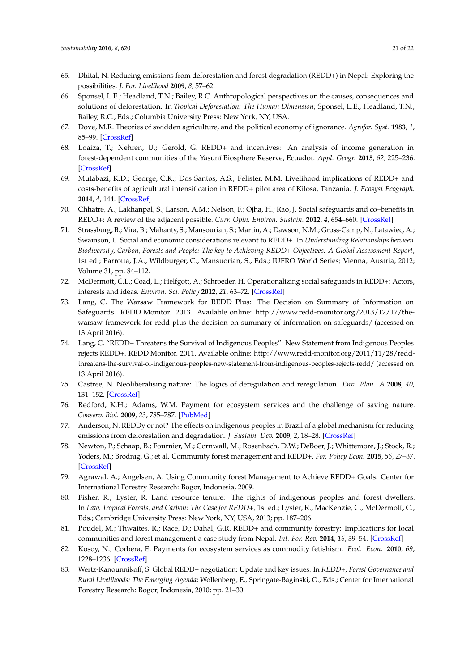- <span id="page-20-17"></span><span id="page-20-0"></span>65. Dhital, N. Reducing emissions from deforestation and forest degradation (REDD+) in Nepal: Exploring the possibilities. *J. For. Livelihood* **2009**, *8*, 57–62.
- <span id="page-20-1"></span>66. Sponsel, L.E.; Headland, T.N.; Bailey, R.C. Anthropological perspectives on the causes, consequences and solutions of deforestation. In *Tropical Deforestation: The Human Dimension*; Sponsel, L.E., Headland, T.N., Bailey, R.C., Eds.; Columbia University Press: New York, NY, USA.
- 67. Dove, M.R. Theories of swidden agriculture, and the political economy of ignorance. *Agrofor. Syst.* **1983**, *1*, 85–99. [\[CrossRef\]](http://dx.doi.org/10.1007/BF00596351)
- <span id="page-20-2"></span>68. Loaiza, T.; Nehren, U.; Gerold, G. REDD+ and incentives: An analysis of income generation in forest-dependent communities of the Yasuní Biosphere Reserve, Ecuador. *Appl. Geogr.* **2015**, *62*, 225–236. [\[CrossRef\]](http://dx.doi.org/10.1016/j.apgeog.2015.04.020)
- <span id="page-20-18"></span><span id="page-20-3"></span>69. Mutabazi, K.D.; George, C.K.; Dos Santos, A.S.; Felister, M.M. Livelihood implications of REDD+ and costs-benefits of agricultural intensification in REDD+ pilot area of Kilosa, Tanzania. *J. Ecosyst Ecograph.* **2014**, *4*, 144. [\[CrossRef\]](http://dx.doi.org/10.4172/2157-7625.1000144)
- <span id="page-20-4"></span>70. Chhatre, A.; Lakhanpal, S.; Larson, A.M.; Nelson, F.; Ojha, H.; Rao, J. Social safeguards and co–benefits in REDD+: A review of the adjacent possible. *Curr. Opin. Environ. Sustain.* **2012**, *4*, 654–660. [\[CrossRef\]](http://dx.doi.org/10.1016/j.cosust.2012.08.006)
- <span id="page-20-19"></span><span id="page-20-16"></span><span id="page-20-5"></span>71. Strassburg, B.; Vira, B.; Mahanty, S.; Mansourian, S.; Martin, A.; Dawson, N.M.; Gross-Camp, N.; Latawiec, A.; Swainson, L. Social and economic considerations relevant to REDD+. In *Understanding Relationships between Biodiversity, Carbon, Forests and People: The key to Achieving REDD+ Objectives. A Global Assessment Report*, 1st ed.; Parrotta, J.A., Wildburger, C., Mansuorian, S., Eds.; IUFRO World Series; Vienna, Austria, 2012; Volume 31, pp. 84–112.
- <span id="page-20-6"></span>72. McDermott, C.L.; Coad, L.; Helfgott, A.; Schroeder, H. Operationalizing social safeguards in REDD+: Actors, interests and ideas. *Environ. Sci. Policy* **2012**, *21*, 63–72. [\[CrossRef\]](http://dx.doi.org/10.1016/j.envsci.2012.02.007)
- <span id="page-20-7"></span>73. Lang, C. The Warsaw Framework for REDD Plus: The Decision on Summary of Information on Safeguards. REDD Monitor. 2013. Available online: [http://www.redd-monitor.org/2013/12/17/the](http://www.redd-monitor.org/2013/12/17/the-warsaw-framework-for-redd-plus-the-decision-on-summary-of-information-on-safeguards/)[warsaw-framework-for-redd-plus-the-decision-on-summary-of-information-on-safeguards/](http://www.redd-monitor.org/2013/12/17/the-warsaw-framework-for-redd-plus-the-decision-on-summary-of-information-on-safeguards/) (accessed on 13 April 2016).
- <span id="page-20-21"></span><span id="page-20-20"></span><span id="page-20-8"></span>74. Lang, C. "REDD+ Threatens the Survival of Indigenous Peoples": New Statement from Indigenous Peoples rejects REDD+. REDD Monitor. 2011. Available online: http://www.redd-monitor.org/2011/11/28/reddthreatens-the-survival-of-indigenous-peoples-new-statement-from-indigenous-peoples-rejects-redd/ (accessed on 13 April 2016).
- <span id="page-20-9"></span>75. Castree, N. Neoliberalising nature: The logics of deregulation and reregulation. *Env. Plan. A* **2008**, *40*, 131–152. [\[CrossRef\]](http://dx.doi.org/10.1068/a3999)
- <span id="page-20-10"></span>76. Redford, K.H.; Adams, W.M. Payment for ecosystem services and the challenge of saving nature. *Conserv. Biol.* **2009**, *23*, 785–787. [\[PubMed\]](http://www.ncbi.nlm.nih.gov/pubmed/19627303)
- <span id="page-20-11"></span>77. Anderson, N. REDDy or not? The effects on indigenous peoples in Brazil of a global mechanism for reducing emissions from deforestation and degradation. *J. Sustain. Dev.* **2009**, *2*, 18–28. [\[CrossRef\]](http://dx.doi.org/10.5539/jsd.v2n3p18)
- <span id="page-20-12"></span>78. Newton, P.; Schaap, B.; Fournier, M.; Cornwall, M.; Rosenbach, D.W.; DeBoer, J.; Whittemore, J.; Stock, R.; Yoders, M.; Brodnig, G.; et al. Community forest management and REDD+. *For. Policy Econ.* **2015**, *56*, 27–37. [\[CrossRef\]](http://dx.doi.org/10.1016/j.forpol.2015.03.008)
- 79. Agrawal, A.; Angelsen, A. Using Community forest Management to Achieve REDD+ Goals. Center for International Forestry Research: Bogor, Indonesia, 2009.
- 80. Fisher, R.; Lyster, R. Land resource tenure: The rights of indigenous peoples and forest dwellers. In *Law, Tropical Forests, and Carbon: The Case for REDD+*, 1st ed.; Lyster, R., MacKenzie, C., McDermott, C., Eds.; Cambridge University Press: New York, NY, USA, 2013; pp. 187–206.
- <span id="page-20-13"></span>81. Poudel, M.; Thwaites, R.; Race, D.; Dahal, G.R. REDD+ and community forestry: Implications for local communities and forest management-a case study from Nepal. *Int. For. Rev.* **2014**, *16*, 39–54. [\[CrossRef\]](http://dx.doi.org/10.1505/146554814811031251)
- <span id="page-20-14"></span>82. Kosoy, N.; Corbera, E. Payments for ecosystem services as commodity fetishism. *Ecol. Econ.* **2010**, *69*, 1228–1236. [\[CrossRef\]](http://dx.doi.org/10.1016/j.ecolecon.2009.11.002)
- <span id="page-20-15"></span>83. Wertz-Kanounnikoff, S. Global REDD+ negotiation: Update and key issues. In *REDD+, Forest Governance and Rural Livelihoods: The Emerging Agenda*; Wollenberg, E., Springate-Baginski, O., Eds.; Center for International Forestry Research: Bogor, Indonesia, 2010; pp. 21–30.